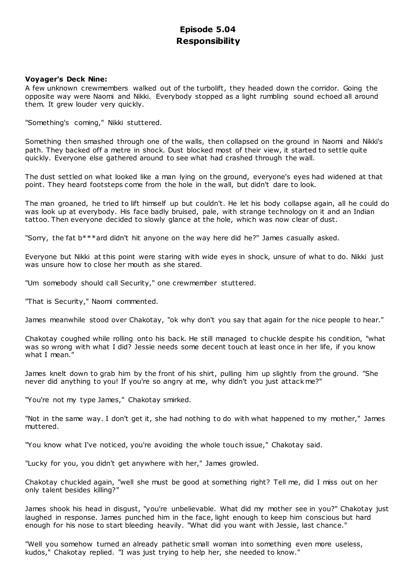# **Episode 5.04 Responsibility**

# **Voyager's Deck Nine:**

A few unknown crewmembers walked out of the turbolift, they headed down the corridor. Going the opposite way were Naomi and Nikki. Everybody stopped as a light rumbling sound echoed all around them. It grew louder very quickly.

"Something's coming," Nikki stuttered.

Something then smashed through one of the walls, then collapsed on the ground in Naomi and Nikki's path. They backed off a metre in shock. Dust blocked most of their view, it started to settle quite quickly. Everyone else gathered around to see what had crashed through the wall.

The dust settled on what looked like a man lying on the ground, everyone's eyes had widened at that point. They heard footsteps come from the hole in the wall, but didn't dare to look.

The man groaned, he tried to lift himself up but couldn't. He let his body collapse again, all he could do was look up at everybody. His face badly bruised, pale, with strange technology on it and an Indian tattoo. Then everyone decided to slowly glance at the hole, which was now clear of dust.

"Sorry, the fat b\*\*\*ard didn't hit anyone on the way here did he?" James casually asked.

Everyone but Nikki at this point were staring with wide eyes in shock, unsure of what to do. Nikki just was unsure how to close her mouth as she stared.

"Um somebody should call Security," one crewmember stuttered.

"That is Security," Naomi commented.

James meanwhile stood over Chakotay, "ok why don't you say that again for the nice people to hear."

Chakotay coughed while rolling onto his back. He still managed to chuckle despite his condition, "what was so wrong with what I did? Jessie needs some decent touch at least once in her life, if you know what I mean."

James knelt down to grab him by the front of his shirt, pulling him up slightly from the ground. "She never did anything to you! If you're so angry at me, why didn't you just attack me?"

"You're not my type James," Chakotay smirked.

"Not in the same way. I don't get it, she had nothing to do with what happened to my mother," James muttered.

"You know what I've noticed, you're avoiding the whole touch issue," Chakotay said.

"Lucky for you, you didn't get anywhere with her," James growled.

Chakotay chuckled again, "well she must be good at something right? Tell me, did I miss out on her only talent besides killing?"

James shook his head in disgust, "you're unbelievable. What did my mother see in you?" Chakotay just laughed in response. James punched him in the face, light enough to keep him conscious but hard enough for his nose to start bleeding heavily. "What did you want with Jessie, last chance."

"Well you somehow turned an already pathetic small woman into something even more useless, kudos," Chakotay replied. "I was just trying to help her, she needed to know."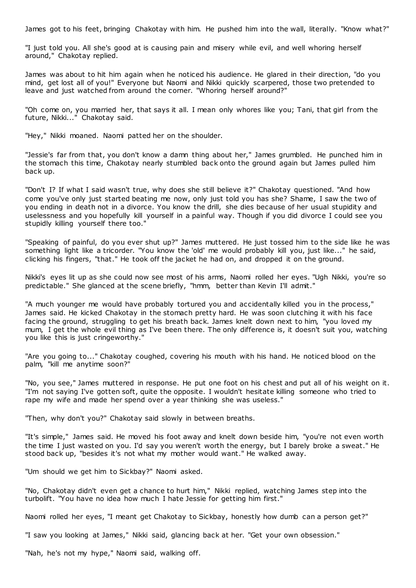James got to his feet, bringing Chakotay with him. He pushed him into the wall, literally. "Know what?"

"I just told you. All she's good at is causing pain and misery while evil, and well whoring herself around," Chakotay replied.

James was about to hit him again when he noticed his audience. He glared in their direction, "do you mind, get lost all of you!" Everyone but Naomi and Nikki quickly scarpered, those two pretended to leave and just watched from around the corner. "Whoring herself around?"

"Oh come on, you married her, that says it all. I mean only whores like you; Tani, that girl from the future, Nikki..." Chakotay said.

"Hey," Nikki moaned. Naomi patted her on the shoulder.

"Jessie's far from that, you don't know a damn thing about her," James grumbled. He punched him in the stomach this time, Chakotay nearly stumbled back onto the ground again but James pulled him back up.

"Don't I? If what I said wasn't true, why does she still believe it?" Chakotay questioned. "And how come you've only just started beating me now, only just told you has she? Shame, I saw the two of you ending in death not in a divorce. You know the drill, she dies because of her usual stupidity and uselessness and you hopefully kill yourself in a painful way. Though if you did divorce I could see you stupidly killing yourself there too."

"Speaking of painful, do you ever shut up?" James muttered. He just tossed him to the side like he was something light like a tricorder. "You know the 'old' me would probably kill you, just like..." he said, clicking his fingers, "that." He took off the jacket he had on, and dropped it on the ground.

Nikki's eyes lit up as she could now see most of his arms, Naomi rolled her eyes. "Ugh Nikki, you're so predictable." She glanced at the scene briefly, "hmm, better than Kevin I'll admit."

"A much younger me would have probably tortured you and accidentally killed you in the process," James said. He kicked Chakotay in the stomach pretty hard. He was soon clutching it with his face facing the ground, struggling to get his breath back. James knelt down next to him, "you loved my mum, I get the whole evil thing as I've been there. The only difference is, it doesn't suit you, watching you like this is just cringeworthy."

"Are you going to..." Chakotay coughed, covering his mouth with his hand. He noticed blood on the palm, "kill me anytime soon?"

"No, you see," James muttered in response. He put one foot on his chest and put all of his weight on it. "I'm not saying I've gotten soft, quite the opposite. I wouldn't hesitate killing someone who tried to rape my wife and made her spend over a year thinking she was useless."

"Then, why don't you?" Chakotay said slowly in between breaths.

"It's simple," James said. He moved his foot away and knelt down beside him, "you're not even worth the time I just wasted on you. I'd say you weren't worth the energy, but I barely broke a sweat." He stood back up, "besides it's not what my mother would want." He walked away.

"Um should we get him to Sickbay?" Naomi asked.

"No, Chakotay didn't even get a chance to hurt him," Nikki replied, watching James step into the turbolift. "You have no idea how much I hate Jessie for getting him first."

Naomi rolled her eyes, "I meant get Chakotay to Sickbay, honestly how dumb can a person get?"

"I saw you looking at James," Nikki said, glancing back at her. "Get your own obsession."

"Nah, he's not my hype," Naomi said, walking off.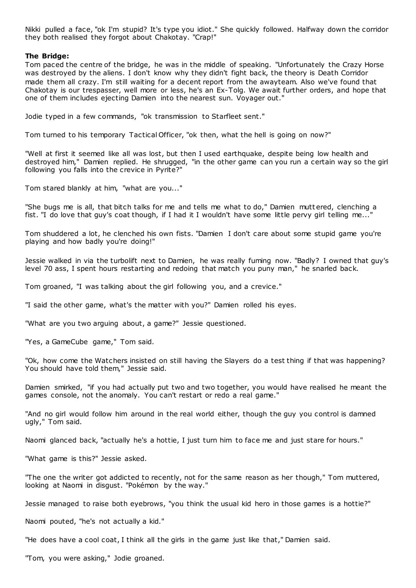Nikki pulled a face, "ok I'm stupid? It's type you idiot." She quickly followed. Halfway down the corridor they both realised they forgot about Chakotay. "Crap!"

# **The Bridge:**

Tom paced the centre of the bridge, he was in the middle of speaking. "Unfortunately the Crazy Horse was destroyed by the aliens. I don't know why they didn't fight back, the theory is Death Corridor made them all crazy. I'm still waiting for a decent report from the awayteam. Also we've found that Chakotay is our trespasser, well more or less, he's an Ex-Tolg. We await further orders, and hope that one of them includes ejecting Damien into the nearest sun. Voyager out."

Jodie typed in a few commands, "ok transmission to Starfleet sent."

Tom turned to his temporary Tactical Officer, "ok then, what the hell is going on now?"

"Well at first it seemed like all was lost, but then I used earthquake, despite being low health and destroyed him," Damien replied. He shrugged, "in the other game can you run a certain way so the girl following you falls into the crevice in Pyrite?"

Tom stared blankly at him, "what are you..."

"She bugs me is all, that bitch talks for me and tells me what to do," Damien mutt ered, clenching a fist. "I do love that guy's coat though, if I had it I wouldn't have some little pervy girl telling me...

Tom shuddered a lot, he clenched his own fists. "Damien I don't care about some stupid game you're playing and how badly you're doing!"

Jessie walked in via the turbolift next to Damien, he was really fuming now. "Badly? I owned that guy's level 70 ass, I spent hours restarting and redoing that match you puny man," he snarled back.

Tom groaned, "I was talking about the girl following you, and a crevice."

"I said the other game, what's the matter with you?" Damien rolled his eyes.

"What are you two arguing about, a game?" Jessie questioned.

"Yes, a GameCube game," Tom said.

"Ok, how come the Watchers insisted on still having the Slayers do a test thing if that was happening? You should have told them," Jessie said.

Damien smirked, "if you had actually put two and two together, you would have realised he meant the games console, not the anomaly. You can't restart or redo a real game."

"And no girl would follow him around in the real world either, though the guy you control is damned ugly," Tom said.

Naomi glanced back, "actually he's a hottie, I just turn him to face me and just stare for hours."

"What game is this?" Jessie asked.

"The one the writer got addicted to recently, not for the same reason as her though," Tom muttered, looking at Naomi in disgust. "Pokémon by the way."

Jessie managed to raise both eyebrows, "you think the usual kid hero in those games is a hottie?"

Naomi pouted, "he's not actually a kid."

"He does have a cool coat, I think all the girls in the game just like that," Damien said.

"Tom, you were asking," Jodie groaned.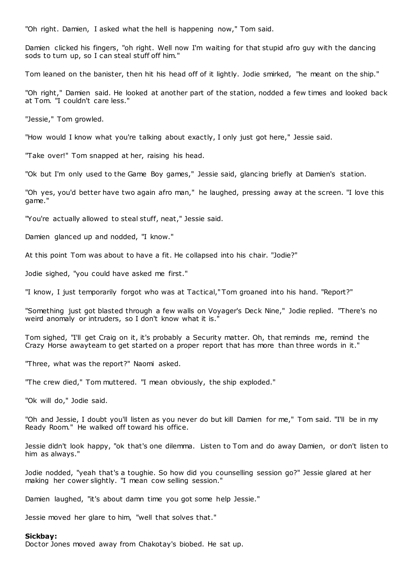"Oh right. Damien, I asked what the hell is happening now," Tom said.

Damien clicked his fingers, "oh right. Well now I'm waiting for that stupid afro guy with the dancing sods to turn up, so I can steal stuff off him."

Tom leaned on the banister, then hit his head off of it lightly. Jodie smirked, "he meant on the ship."

"Oh right," Damien said. He looked at another part of the station, nodded a few times and looked back at Tom. "I couldn't care less."

"Jessie," Tom growled.

"How would I know what you're talking about exactly, I only just got here," Jessie said.

"Take over!" Tom snapped at her, raising his head.

"Ok but I'm only used to the Game Boy games," Jessie said, glancing briefly at Damien's station.

"Oh yes, you'd better have two again afro man," he laughed, pressing away at the screen. "I love this game."

"You're actually allowed to steal stuff, neat," Jessie said.

Damien glanced up and nodded, "I know."

At this point Tom was about to have a fit. He collapsed into his chair. "Jodie?"

Jodie sighed, "you could have asked me first."

"I know, I just temporarily forgot who was at Tactical," Tom groaned into his hand. "Report?"

"Something just got blasted through a few walls on Voyager's Deck Nine," Jodie replied. "There's no weird anomaly or intruders, so I don't know what it is."

Tom sighed, "I'll get Craig on it, it's probably a Security matter. Oh, that reminds me, remind the Crazy Horse awayteam to get started on a proper report that has more than three words in it."

"Three, what was the report?" Naomi asked.

"The crew died," Tom muttered. "I mean obviously, the ship exploded."

"Ok will do," Jodie said.

"Oh and Jessie, I doubt you'll listen as you never do but kill Damien for me," Tom said. "I'll be in my Ready Room." He walked off toward his office.

Jessie didn't look happy, "ok that's one dilemma. Listen to Tom and do away Damien, or don't listen to him as always."

Jodie nodded, "yeah that's a toughie. So how did you counselling session go?" Jessie glared at her making her cower slightly. "I mean cow selling session."

Damien laughed, "it's about damn time you got some help Jessie."

Jessie moved her glare to him, "well that solves that."

## **Sickbay:**

Doctor Jones moved away from Chakotay's biobed. He sat up.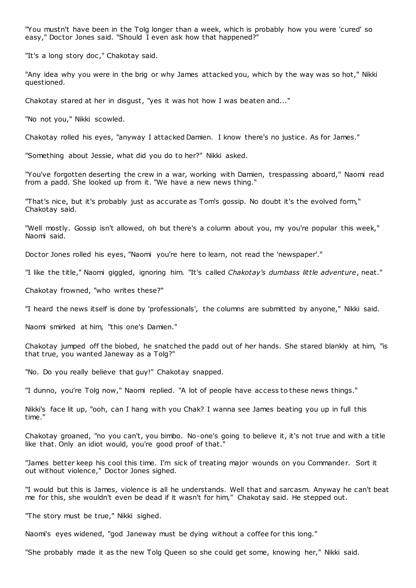"You mustn't have been in the Tolg longer than a week, which is probably how you were 'cured' so easy," Doctor Jones said. "Should I even ask how that happened?"

"It's a long story doc," Chakotay said.

"Any idea why you were in the brig or why James attacked you, which by the way was so hot," Nikki questioned.

Chakotay stared at her in disgust, "yes it was hot how I was beaten and..."

"No not you," Nikki scowled.

Chakotay rolled his eyes, "anyway I attacked Damien. I know there's no justice. As for James."

"Something about Jessie, what did you do to her?" Nikki asked.

"You've forgotten deserting the crew in a war, working with Damien, trespassing aboard," Naomi read from a padd. She looked up from it. "We have a new news thing."

"That's nice, but it's probably just as accurate as Tom's gossip. No doubt it's the evolved form," Chakotay said.

"Well mostly. Gossip isn't allowed, oh but there's a column about you, my you're popular this week," Naomi said.

Doctor Jones rolled his eyes, "Naomi you're here to learn, not read the 'newspaper'."

"I like the title," Naomi giggled, ignoring him. "It's called *Chakotay's dumbass little adventure*, neat."

Chakotay frowned, "who writes these?"

"I heard the news itself is done by 'professionals', the columns are submitted by anyone," Nikki said.

Naomi smirked at him, "this one's Damien."

Chakotay jumped off the biobed, he snatched the padd out of her hands. She stared blankly at him, "is that true, you wanted Janeway as a Tolg?"

"No. Do you really believe that guy!" Chakotay snapped.

"I dunno, you're Tolg now," Naomi replied. "A lot of people have access to these news things."

Nikki's face lit up, "ooh, can I hang with you Chak? I wanna see James beating you up in full this time."

Chakotay groaned, "no you can't, you bimbo. No-one's going to believe it, it's not true and with a title like that. Only an idiot would, you're good proof of that.

"James better keep his cool this time. I'm sick of treating major wounds on you Commander. Sort it out without violence," Doctor Jones sighed.

"I would but this is James, violence is all he understands. Well that and sarcasm. Anyway he can't beat me for this, she wouldn't even be dead if it wasn't for him," Chakotay said. He stepped out.

"The story must be true," Nikki sighed.

Naomi's eyes widened, "god Janeway must be dying without a coffee for this long."

"She probably made it as the new Tolg Queen so she could get some, knowing her," Nikki said.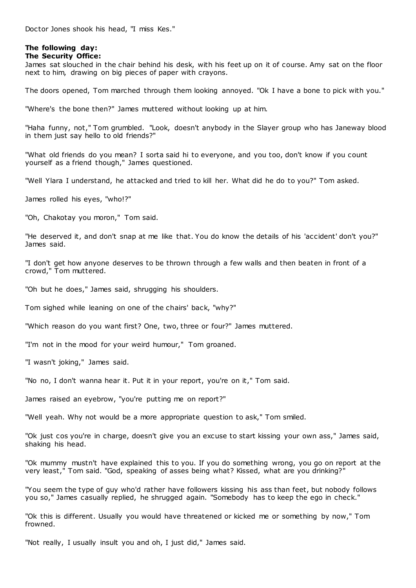Doctor Jones shook his head, "I miss Kes."

# **The following day:**

# **The Security Office:**

James sat slouched in the chair behind his desk, with his feet up on it of course. Amy sat on the floor next to him, drawing on big pieces of paper with crayons.

The doors opened, Tom marched through them looking annoyed. "Ok I have a bone to pick with you."

"Where's the bone then?" James muttered without looking up at him.

"Haha funny, not," Tom grumbled. "Look, doesn't anybody in the Slayer group who has Janeway blood in them just say hello to old friends?"

"What old friends do you mean? I sorta said hi to everyone, and you too, don't know if you count yourself as a friend though," James questioned.

"Well Ylara I understand, he attacked and tried to kill her. What did he do to you?" Tom asked.

James rolled his eyes, "who!?"

"Oh, Chakotay you moron," Tom said.

"He deserved it, and don't snap at me like that. You do know the details of his 'accident' don't you?" James said.

"I don't get how anyone deserves to be thrown through a few walls and then beaten in front of a crowd," Tom muttered.

"Oh but he does," James said, shrugging his shoulders.

Tom sighed while leaning on one of the chairs' back, "why?"

"Which reason do you want first? One, two, three or four?" James muttered.

"I'm not in the mood for your weird humour," Tom groaned.

"I wasn't joking," James said.

"No no, I don't wanna hear it. Put it in your report, you're on it," Tom said.

James raised an eyebrow, "you're putting me on report?"

"Well yeah. Why not would be a more appropriate question to ask," Tom smiled.

"Ok just cos you're in charge, doesn't give you an excuse to start kissing your own ass," James said, shaking his head.

"Ok mummy mustn't have explained this to you. If you do something wrong, you go on report at the very least," Tom said. "God, speaking of asses being what? Kissed, what are you drinking?"

"You seem the type of guy who'd rather have followers kissing his ass than feet, but nobody follows you so," James casually replied, he shrugged again. "Somebody has to keep the ego in check."

"Ok this is different. Usually you would have threatened or kicked me or something by now," Tom frowned.

"Not really, I usually insult you and oh, I just did," James said.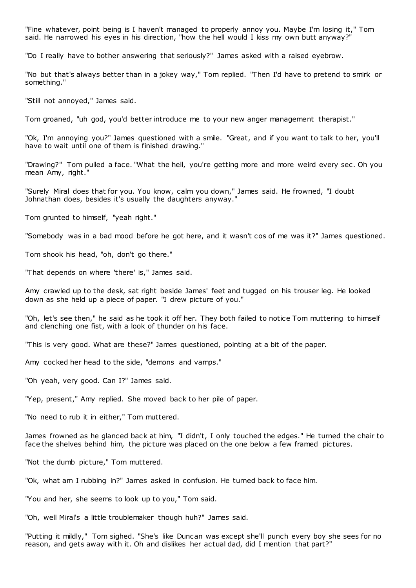"Fine whatever, point being is I haven't managed to properly annoy you. Maybe I'm losing it," Tom said. He narrowed his eyes in his direction, "how the hell would I kiss my own butt anyway?"

"Do I really have to bother answering that seriously?" James asked with a raised eyebrow.

"No but that's always better than in a jokey way," Tom replied. "Then I'd have to pretend to smirk or something."

"Still not annoyed," James said.

Tom groaned, "uh god, you'd better introduce me to your new anger management therapist."

"Ok, I'm annoying you?" James questioned with a smile. "Great, and if you want to talk to her, you'll have to wait until one of them is finished drawing."

"Drawing?" Tom pulled a face. "What the hell, you're getting more and more weird every sec . Oh you mean Amy, right."

"Surely Miral does that for you. You know, calm you down," James said. He frowned, "I doubt Johnathan does, besides it's usually the daughters anyway.

Tom grunted to himself, "yeah right."

"Somebody was in a bad mood before he got here, and it wasn't cos of me was it?" James questioned.

Tom shook his head, "oh, don't go there."

"That depends on where 'there' is," James said.

Amy crawled up to the desk, sat right beside James' feet and tugged on his trouser leg. He looked down as she held up a piece of paper. "I drew picture of you."

"Oh, let's see then," he said as he took it off her. They both failed to notice Tom muttering to himself and clenching one fist, with a look of thunder on his face.

"This is very good. What are these?" James questioned, pointing at a bit of the paper.

Amy cocked her head to the side, "demons and vamps."

"Oh yeah, very good. Can I?" James said.

"Yep, present," Amy replied. She moved back to her pile of paper.

"No need to rub it in either," Tom muttered.

James frowned as he glanced back at him, "I didn't, I only touched the edges." He turned the chair to face the shelves behind him, the picture was placed on the one below a few framed pictures.

"Not the dumb picture," Tom muttered.

"Ok, what am I rubbing in?" James asked in confusion. He turned back to face him.

"You and her, she seems to look up to you," Tom said.

"Oh, well Miral's a little troublemaker though huh?" James said.

"Putting it mildly," Tom sighed. "She's like Duncan was except she'll punch every boy she sees for no reason, and gets away with it. Oh and dislikes her actual dad, did I mention that part?"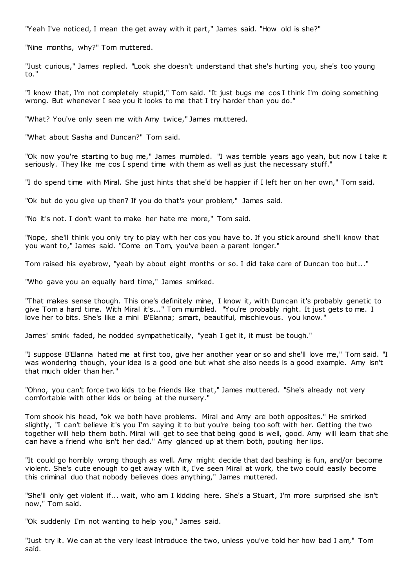"Yeah I've noticed, I mean the get away with it part," James said. "How old is she?"

"Nine months, why?" Tom muttered.

"Just curious," James replied. "Look she doesn't understand that she's hurting you, she's too young to."

"I know that, I'm not completely stupid," Tom said. "It just bugs me cos I think I'm doing something wrong. But whenever I see you it looks to me that I try harder than you do."

"What? You've only seen me with Amy twice," James muttered.

"What about Sasha and Duncan?" Tom said.

"Ok now you're starting to bug me," James mumbled. "I was terrible years ago yeah, but now I take it seriously. They like me cos I spend time with them as well as just the necessary stuff."

"I do spend time with Miral. She just hints that she'd be happier if I left her on her own," Tom said.

"Ok but do you give up then? If you do that's your problem," James said.

"No it's not. I don't want to make her hate me more," Tom said.

"Nope, she'll think you only try to play with her cos you have to. If you stick around she'll know that you want to," James said. "Come on Tom, you've been a parent longer."

Tom raised his eyebrow, "yeah by about eight months or so. I did take care of Duncan too but..."

"Who gave you an equally hard time," James smirked.

"That makes sense though. This one's definitely mine, I know it, with Duncan it's probably genetic to give Tom a hard time. With Miral it's..." Tom mumbled. "You're probably right. It just gets to me. I love her to bits. She's like a mini B'Elanna; smart, beautiful, mischievous. you know."

James' smirk faded, he nodded sympathetically, "yeah I get it, it must be tough."

"I suppose B'Elanna hated me at first too, give her another year or so and she'll love me," Tom said. "I was wondering though, your idea is a good one but what she also needs is a good example. Amy isn't that much older than her."

"Ohno, you can't force two kids to be friends like that," James muttered. "She's already not very comfortable with other kids or being at the nursery."

Tom shook his head, "ok we both have problems. Miral and Amy are both opposites." He smirked slightly, "I can't believe it's you I'm saying it to but you're being too soft with her. Getting the two together will help them both. Miral will get to see that being good is well, good. Amy will learn that she can have a friend who isn't her dad." Amy glanced up at them both, pouting her lips.

"It could go horribly wrong though as well. Amy might decide that dad bashing is fun, and/or become violent. She's cute enough to get away with it, I've seen Miral at work, the two could easily become this criminal duo that nobody believes does anything," James muttered.

"She'll only get violent if... wait, who am I kidding here. She's a Stuart, I'm more surprised she isn't now," Tom said.

"Ok suddenly I'm not wanting to help you," James said.

"Just try it. We can at the very least introduce the two, unless you've told her how bad I am," Tom said.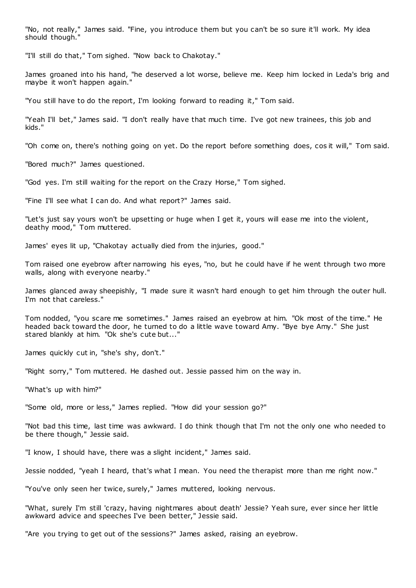"No, not really," James said. "Fine, you introduce them but you can't be so sure it'll work. My idea should though."

"I'll still do that," Tom sighed. "Now back to Chakotay."

James groaned into his hand, "he deserved a lot worse, believe me. Keep him locked in Leda's brig and maybe it won't happen again."

"You still have to do the report, I'm looking forward to reading it," Tom said.

"Yeah I'll bet," James said. "I don't really have that much time. I've got new trainees, this job and kids."

"Oh come on, there's nothing going on yet. Do the report before something does, cos it will," Tom said.

"Bored much?" James questioned.

"God yes. I'm still waiting for the report on the Crazy Horse," Tom sighed.

"Fine I'll see what I can do. And what report?" James said.

"Let's just say yours won't be upsetting or huge when I get it, yours will ease me into the violent, deathy mood," Tom muttered.

James' eyes lit up, "Chakotay actually died from the injuries, good."

Tom raised one eyebrow after narrowing his eyes, "no, but he could have if he went through two more walls, along with everyone nearby."

James glanced away sheepishly, "I made sure it wasn't hard enough to get him through the outer hull. I'm not that careless."

Tom nodded, "you scare me sometimes." James raised an eyebrow at him. "Ok most of the time." He headed back toward the door, he turned to do a little wave toward Amy. "Bye bye Amy." She just stared blankly at him. "Ok she's cute but..."

James quickly cut in, "she's shy, don't."

"Right sorry," Tom muttered. He dashed out. Jessie passed him on the way in.

"What's up with him?"

"Some old, more or less," James replied. "How did your session go?"

"Not bad this time, last time was awkward. I do think though that I'm not the only one who needed to be there though," Jessie said.

"I know, I should have, there was a slight incident," James said.

Jessie nodded, "yeah I heard, that's what I mean. You need the therapist more than me right now."

"You've only seen her twice, surely," James muttered, looking nervous.

"What, surely I'm still 'crazy, having nightmares about death' Jessie? Yeah sure, ever since her little awkward advice and speeches I've been better," Jessie said.

"Are you trying to get out of the sessions?" James asked, raising an eyebrow.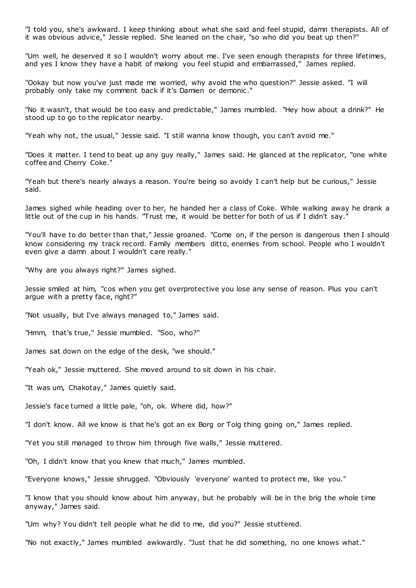"I told you, she's awkward. I keep thinking about what she said and feel stupid, damn therapists. All of it was obvious advice," Jessie replied. She leaned on the chair, "so who did you beat up then?"

"Um well, he deserved it so I wouldn't worry about me. I've seen enough therapists for three lifetimes, and yes I know they have a habit of making you feel stupid and embarrassed," James replied.

"Ookay but now you've just made me worried, why avoid the who question?" Jessie asked. "I will probably only take my comment back if it's Damien or demonic ."

"No it wasn't, that would be too easy and predictable," James mumbled. "Hey how about a drink?" He stood up to go to the replicator nearby.

"Yeah why not, the usual," Jessie said. "I still wanna know though, you can't avoid me."

"Does it matter. I tend to beat up any guy really," James said. He glanced at the replicator, "one white coffee and Cherry Coke."

"Yeah but there's nearly always a reason. You're being so avoidy I can't help but be curious," Jessie said.

James sighed while heading over to her, he handed her a class of Coke. While walking away he drank a little out of the cup in his hands. "Trust me, it would be better for both of us if I didn't say."

"You'll have to do better than that," Jessie groaned. "Come on, if the person is dangerous then I should know considering my track record. Family members ditto, enemies from school. People who I wouldn't even give a damn about I wouldn't care really."

"Why are you always right?" James sighed.

Jessie smiled at him, "cos when you get overprotective you lose any sense of reason. Plus you can't argue with a pretty face, right?"

"Not usually, but I've always managed to," James said.

"Hmm, that's true," Jessie mumbled. "Soo, who?"

James sat down on the edge of the desk, "we should."

"Yeah ok," Jessie muttered. She moved around to sit down in his chair.

"It was um, Chakotay," James quietly said.

Jessie's face turned a little pale, "oh, ok. Where did, how?"

"I don't know. All we know is that he's got an ex Borg or Tolg thing going on," James replied.

"Yet you still managed to throw him through five walls," Jessie muttered.

"Oh, I didn't know that you knew that much," James mumbled.

"Everyone knows," Jessie shrugged. "Obviously 'everyone' wanted to protect me, like you."

"I know that you should know about him anyway, but he probably will be in the brig the whole time anyway," James said.

"Um why? You didn't tell people what he did to me, did you?" Jessie stuttered.

"No not exactly," James mumbled awkwardly. "Just that he did something, no one knows what."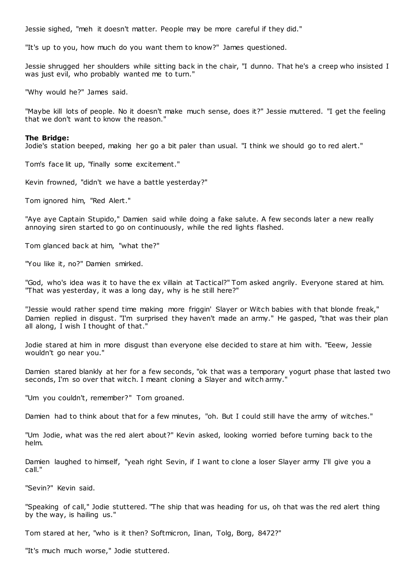Jessie sighed, "meh it doesn't matter. People may be more careful if they did."

"It's up to you, how much do you want them to know?" James questioned.

Jessie shrugged her shoulders while sitting back in the chair, "I dunno. That he's a creep who insisted I was just evil, who probably wanted me to turn."

"Why would he?" James said.

"Maybe kill lots of people. No it doesn't make much sense, does it?" Jessie muttered. "I get the feeling that we don't want to know the reason."

## **The Bridge:**

Jodie's station beeped, making her go a bit paler than usual. "I think we should go to red alert."

Tom's face lit up, "finally some excitement."

Kevin frowned, "didn't we have a battle yesterday?"

Tom ignored him, "Red Alert."

"Aye aye Captain Stupido," Damien said while doing a fake salute. A few seconds later a new really annoying siren started to go on continuously, while the red lights flashed.

Tom glanced back at him, "what the?"

"You like it, no?" Damien smirked.

"God, who's idea was it to have the ex villain at Tactical?" Tom asked angrily. Everyone stared at him. "That was yesterday, it was a long day, why is he still here?"

"Jessie would rather spend time making more friggin' Slayer or Witch babies with that blonde freak," Damien replied in disgust. "I'm surprised they haven't made an army." He gasped, "that was their plan all along, I wish I thought of that."

Jodie stared at him in more disgust than everyone else decided to stare at him with. "Eeew, Jessie wouldn't go near you."

Damien stared blankly at her for a few seconds, "ok that was a temporary yogurt phase that lasted two seconds, I'm so over that witch. I meant cloning a Slayer and witch army.

"Um you couldn't, remember?" Tom groaned.

Damien had to think about that for a few minutes, "oh. But I could still have the army of witches."

"Um Jodie, what was the red alert about?" Kevin asked, looking worried before turning back to the helm.

Damien laughed to himself, "yeah right Sevin, if I want to clone a loser Slayer army I'll give you a call."

"Sevin?" Kevin said.

"Speaking of call," Jodie stuttered. "The ship that was heading for us, oh that was the red alert thing by the way, is hailing us."

Tom stared at her, "who is it then? Softmicron, Iinan, Tolg, Borg, 8472?"

"It's much much worse," Jodie stuttered.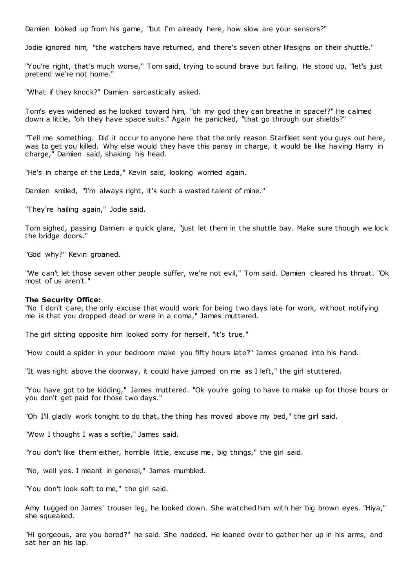Damien looked up from his game, "but I'm already here, how slow are your sensors?"

Jodie ignored him, "the watchers have returned, and there's seven other lifesigns on their shuttle."

"You're right, that's much worse," Tom said, trying to sound brave but failing. He stood up, "let's just pretend we're not home."

"What if they knock?" Damien sarcastically asked.

Tom's eyes widened as he looked toward him, "oh my god they can breathe in space!?" He calmed down a little, "oh they have space suits." Again he panicked, "that go through our shields?"

"Tell me something. Did it occur to anyone here that the only reason Starfleet sent you guys out here, was to get you killed. Why else would they have this pansy in charge, it would be like having Harry in charge," Damien said, shaking his head.

"He's in charge of the Leda," Kevin said, looking worried again.

Damien smiled, "I'm always right, it's such a wasted talent of mine."

"They're hailing again," Jodie said.

Tom sighed, passing Damien a quick glare, "just let them in the shuttle bay. Make sure though we lock the bridge doors."

"God why?" Kevin groaned.

"We can't let those seven other people suffer, we're not evil," Tom said. Damien cleared his throat. "Ok most of us aren't."

#### **The Security Office:**

"No I don't care, the only excuse that would work for being two days late for work, without notifying me is that you dropped dead or were in a coma," James muttered.

The girl sitting opposite him looked sorry for herself, "it's true."

"How could a spider in your bedroom make you fifty hours late?" James groaned into his hand.

"It was right above the doorway, it could have jumped on me as I left," the girl stuttered.

"You have got to be kidding," James muttered. "Ok you're going to have to make up for those hours or you don't get paid for those two days."

"Oh I'll gladly work tonight to do that, the thing has moved above my bed," the girl said.

"Wow I thought I was a softie," James said.

"You don't like them either, horrible little, excuse me, big things," the girl said.

"No, well yes. I meant in general," James mumbled.

"You don't look soft to me," the girl said.

Amy tugged on James' trouser leg, he looked down. She watched him with her big brown eyes. "Hiya," she squeaked.

"Hi gorgeous, are you bored?" he said. She nodded. He leaned over to gather her up in his arms, and sat her on his lap.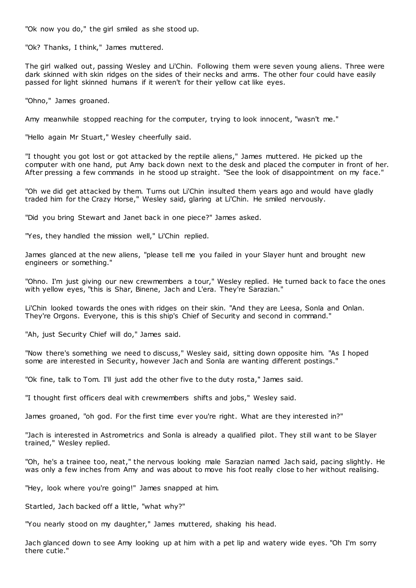"Ok now you do," the girl smiled as she stood up.

"Ok? Thanks, I think," James muttered.

The girl walked out, passing Wesley and Li'Chin. Following them were seven young aliens. Three were dark skinned with skin ridges on the sides of their necks and arms. The other four could have easily passed for light skinned humans if it weren't for their yellow cat like eyes.

"Ohno," James groaned.

Amy meanwhile stopped reaching for the computer, trying to look innocent, "wasn't me."

"Hello again Mr Stuart," Wesley cheerfully said.

"I thought you got lost or got attacked by the reptile aliens," James muttered. He picked up the computer with one hand, put Amy back down next to the desk and placed the computer in front of her. After pressing a few commands in he stood up straight. "See the look of disappointment on my face."

"Oh we did get attacked by them. Turns out Li'Chin insulted them years ago and would have gladly traded him for the Crazy Horse," Wesley said, glaring at Li'Chin. He smiled nervously.

"Did you bring Stewart and Janet back in one piece?" James asked.

"Yes, they handled the mission well," Li'Chin replied.

James glanced at the new aliens, "please tell me you failed in your Slayer hunt and brought new engineers or something."

"Ohno. I'm just giving our new crewmembers a tour," Wesley replied. He turned back to face the ones with yellow eyes, "this is Shar, Binene, Jach and L'era. They're Sarazian."

Li'Chin looked towards the ones with ridges on their skin. "And they are Leesa, Sonla and Onlan. They're Orgons. Everyone, this is this ship's Chief of Security and second in command."

"Ah, just Security Chief will do," James said.

"Now there's something we need to discuss," Wesley said, sitting down opposite him. "As I hoped some are interested in Security, however Jach and Sonla are wanting different postings."

"Ok fine, talk to Tom. I'll just add the other five to the duty rosta," James said.

"I thought first officers deal with crewmembers shifts and jobs," Wesley said.

James groaned, "oh god. For the first time ever you're right. What are they interested in?"

"Jach is interested in Astrometrics and Sonla is already a qualified pilot. They still w ant to be Slayer trained," Wesley replied.

"Oh, he's a trainee too, neat," the nervous looking male Sarazian named Jach said, pacing slightly. He was only a few inches from Amy and was about to move his foot really close to her without realising.

"Hey, look where you're going!" James snapped at him.

Startled, Jach backed off a little, "what why?"

"You nearly stood on my daughter," James muttered, shaking his head.

Jach glanced down to see Amy looking up at him with a pet lip and watery wide eyes. "Oh I'm sorry there cutie."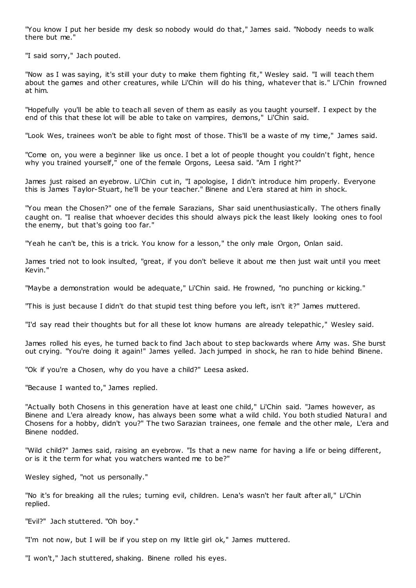"You know I put her beside my desk so nobody would do that," James said. "Nobody needs to walk there but me."

"I said sorry," Jach pouted.

"Now as I was saying, it's still your duty to make them fighting fit," Wesley said. "I will teach them about the games and other creatures, while Li'Chin will do his thing, whatever that is." Li'Chin frowned at him.

"Hopefully you'll be able to teach all seven of them as easily as you taught yourself. I expect by the end of this that these lot will be able to take on vampires, demons," Li'Chin said.

"Look Wes, trainees won't be able to fight most of those. This'll be a waste of my time," James said.

"Come on, you were a beginner like us once. I bet a lot of people thought you couldn't fight, hence why you trained yourself," one of the female Orgons, Leesa said. "Am I right?"

James just raised an eyebrow. Li'Chin cut in, "I apologise, I didn't introduce him properly. Everyone this is James Taylor-Stuart, he'll be your teacher." Binene and L'era stared at him in shock.

"You mean the Chosen?" one of the female Sarazians, Shar said unenthusiastically. The others finally caught on. "I realise that whoever decides this should always pick the least likely looking ones to fool the enemy, but that's going too far."

"Yeah he can't be, this is a trick. You know for a lesson," the only male Orgon, Onlan said.

James tried not to look insulted, "great, if you don't believe it about me then just wait until you meet Kevin."

"Maybe a demonstration would be adequate," Li'Chin said. He frowned, "no punching or kicking."

"This is just because I didn't do that stupid test thing before you left, isn't it?" James muttered.

"I'd say read their thoughts but for all these lot know humans are already telepathic ," Wesley said.

James rolled his eyes, he turned back to find Jach about to step backwards where Amy was. She burst out crying. "You're doing it again!" James yelled. Jach jumped in shock, he ran to hide behind Binene.

"Ok if you're a Chosen, why do you have a child?" Leesa asked.

"Because I wanted to," James replied.

"Actually both Chosens in this generation have at least one child," Li'Chin said. "James however, as Binene and L'era already know, has always been some what a wild child. You both studied Natural and Chosens for a hobby, didn't you?" The two Sarazian trainees, one female and the other male, L'era and Binene nodded.

"Wild child?" James said, raising an eyebrow. "Is that a new name for having a life or being different, or is it the term for what you watchers wanted me to be?"

Wesley sighed, "not us personally."

"No it's for breaking all the rules; turning evil, children. Lena's wasn't her fault after all," Li'Chin replied.

"Evil?" Jach stuttered. "Oh boy."

"I'm not now, but I will be if you step on my little girl ok," James muttered.

"I won't," Jach stuttered, shaking. Binene rolled his eyes.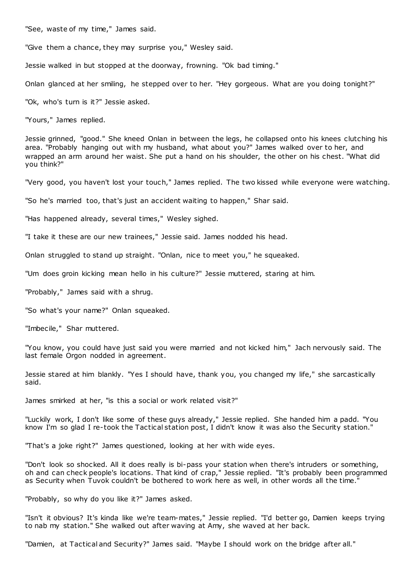"See, waste of my time," James said.

"Give them a chance, they may surprise you," Wesley said.

Jessie walked in but stopped at the doorway, frowning. "Ok bad timing."

Onlan glanced at her smiling, he stepped over to her. "Hey gorgeous. What are you doing tonight?"

"Ok, who's turn is it?" Jessie asked.

"Yours," James replied.

Jessie grinned, "good." She kneed Onlan in between the legs, he collapsed onto his knees clutching his area. "Probably hanging out with my husband, what about you?" James walked over to her, and wrapped an arm around her waist. She put a hand on his shoulder, the other on his chest. "What did you think?"

"Very good, you haven't lost your touch," James replied. The two kissed while everyone were watching.

"So he's married too, that's just an accident waiting to happen," Shar said.

"Has happened already, several times," Wesley sighed.

"I take it these are our new trainees," Jessie said. James nodded his head.

Onlan struggled to stand up straight. "Onlan, nice to meet you," he squeaked.

"Um does groin kicking mean hello in his culture?" Jessie muttered, staring at him.

"Probably," James said with a shrug.

"So what's your name?" Onlan squeaked.

"Imbecile," Shar muttered.

"You know, you could have just said you were married and not kicked him," Jach nervously said. The last female Orgon nodded in agreement.

Jessie stared at him blankly. "Yes I should have, thank you, you changed my life," she sarcastically said.

James smirked at her, "is this a social or work related visit?"

"Luckily work, I don't like some of these guys already," Jessie replied. She handed him a padd. "You know I'm so glad I re-took the Tactical station post, I didn't know it was also the Security station."

"That's a joke right?" James questioned, looking at her with wide eyes.

"Don't look so shocked. All it does really is bi-pass your station when there's intruders or something, oh and can check people's locations. That kind of crap," Jessie replied. "It's probably been programmed as Security when Tuvok couldn't be bothered to work here as well, in other words all the time."

"Probably, so why do you like it?" James asked.

"Isn't it obvious? It's kinda like we're team-mates," Jessie replied. "I'd better go, Damien keeps trying to nab my station." She walked out after waving at Amy, she waved at her back.

"Damien, at Tactical and Security?" James said. "Maybe I should work on the bridge after all."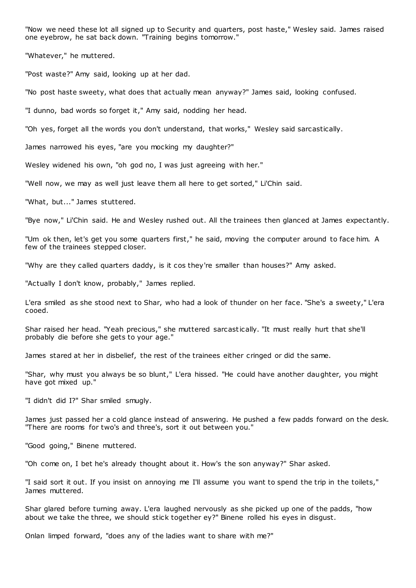"Now we need these lot all signed up to Security and quarters, post haste," Wesley said. James raised one eyebrow, he sat back down. "Training begins tomorrow."

"Whatever," he muttered.

"Post waste?" Amy said, looking up at her dad.

"No post haste sweety, what does that actually mean anyway?" James said, looking confused.

"I dunno, bad words so forget it," Amy said, nodding her head.

"Oh yes, forget all the words you don't understand, that works," Wesley said sarcastically.

James narrowed his eyes, "are you mocking my daughter?"

Wesley widened his own, "oh god no, I was just agreeing with her."

"Well now, we may as well just leave them all here to get sorted," Li'Chin said.

"What, but..." James stuttered.

"Bye now," Li'Chin said. He and Wesley rushed out. All the trainees then glanced at James expectantly.

"Um ok then, let's get you some quarters first," he said, moving the computer around to face him. A few of the trainees stepped closer.

"Why are they called quarters daddy, is it cos they're smaller than houses?" Amy asked.

"Actually I don't know, probably," James replied.

L'era smiled as she stood next to Shar, who had a look of thunder on her face. "She's a sweety," L'era cooed.

Shar raised her head. "Yeah precious," she muttered sarcastically. "It must really hurt that she'll probably die before she gets to your age."

James stared at her in disbelief, the rest of the trainees either cringed or did the same.

"Shar, why must you always be so blunt," L'era hissed. "He could have another daughter, you might have got mixed up."

"I didn't did I?" Shar smiled smugly.

James just passed her a cold glance instead of answering. He pushed a few padds forward on the desk. "There are rooms for two's and three's, sort it out between you."

"Good going," Binene muttered.

"Oh come on, I bet he's already thought about it. How's the son anyway?" Shar asked.

"I said sort it out. If you insist on annoying me I'll assume you want to spend the trip in the toilets," James muttered.

Shar glared before turning away. L'era laughed nervously as she picked up one of the padds, "how about we take the three, we should stick together ey?" Binene rolled his eyes in disgust.

Onlan limped forward, "does any of the ladies want to share with me?"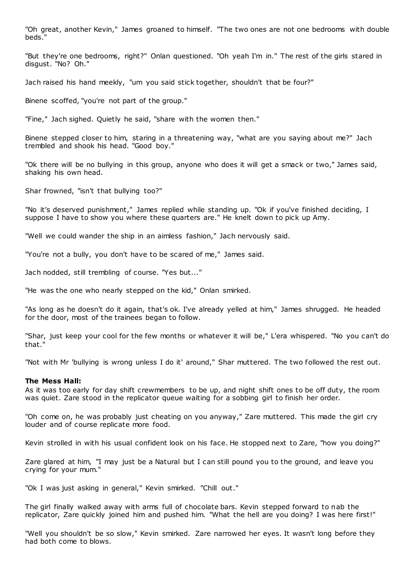"Oh great, another Kevin," James groaned to himself. "The two ones are not one bedrooms with double beds."

"But they're one bedrooms, right?" Onlan questioned. "Oh yeah I'm in." The rest of the girls stared in disgust. "No? Oh."

Jach raised his hand meekly, "um you said stick together, shouldn't that be four?"

Binene scoffed, "you're not part of the group."

"Fine," Jach sighed. Quietly he said, "share with the women then."

Binene stepped closer to him, staring in a threatening way, "what are you saying about me?" Jach trembled and shook his head. "Good boy."

"Ok there will be no bullying in this group, anyone who does it will get a smack or two," James said, shaking his own head.

Shar frowned, "isn't that bullying too?"

"No it's deserved punishment," James replied while standing up. "Ok if you've finished deciding, I suppose I have to show you where these quarters are." He knelt down to pick up Amy.

"Well we could wander the ship in an aimless fashion," Jach nervously said.

"You're not a bully, you don't have to be scared of me," James said.

Jach nodded, still trembling of course. "Yes but..."

"He was the one who nearly stepped on the kid," Onlan smirked.

"As long as he doesn't do it again, that's ok. I've already yelled at him," James shrugged. He headed for the door, most of the trainees began to follow.

"Shar, just keep your cool for the few months or whatever it will be," L'era whispered. "No you can't do that."

"Not with Mr 'bullying is wrong unless I do it' around," Shar muttered. The two followed the rest out.

## **The Mess Hall:**

As it was too early for day shift crewmembers to be up, and night shift ones to be off duty, the room was quiet. Zare stood in the replicator queue waiting for a sobbing girl to finish her order.

"Oh come on, he was probably just cheating on you anyway," Zare muttered. This made the girl cry louder and of course replicate more food.

Kevin strolled in with his usual confident look on his face. He stopped next to Zare, "how you doing?"

Zare glared at him, "I may just be a Natural but I can still pound you to the ground, and leave you crying for your mum."

"Ok I was just asking in general," Kevin smirked. "Chill out."

The girl finally walked away with arms full of chocolate bars. Kevin stepped forward to nab the replicator, Zare quickly joined him and pushed him. "What the hell are you doing? I was here first!"

"Well you shouldn't be so slow," Kevin smirked. Zare narrowed her eyes. It wasn't long before they had both come to blows.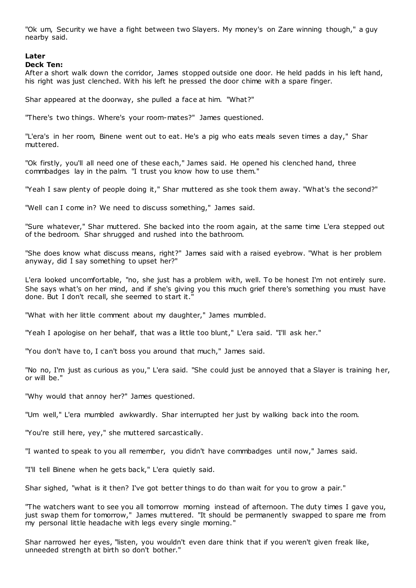"Ok um, Security we have a fight between two Slayers. My money's on Zare winning though," a guy nearby said.

# **Later**

# **Deck Ten:**

After a short walk down the corridor, James stopped outside one door. He held padds in his left hand, his right was just clenched. With his left he pressed the door chime with a spare finger.

Shar appeared at the doorway, she pulled a face at him. "What?"

"There's two things. Where's your room-mates?" James questioned.

"L'era's in her room, Binene went out to eat. He's a pig who eats meals seven times a day," Shar muttered.

"Ok firstly, you'll all need one of these each," James said. He opened his clenched hand, three commbadges lay in the palm. "I trust you know how to use them."

"Yeah I saw plenty of people doing it," Shar muttered as she took them away. "What's the second?"

"Well can I come in? We need to discuss something," James said.

"Sure whatever," Shar muttered. She backed into the room again, at the same time L'era stepped out of the bedroom. Shar shrugged and rushed into the bathroom.

"She does know what discuss means, right?" James said with a raised eyebrow. "What is her problem anyway, did I say something to upset her?"

L'era looked uncomfortable, "no, she just has a problem with, well. To be honest I'm not entirely sure. She says what's on her mind, and if she's giving you this much grief there's something you must have done. But I don't recall, she seemed to start it."

"What with her little comment about my daughter," James mumbled.

"Yeah I apologise on her behalf, that was a little too blunt," L'era said. "I'll ask her."

"You don't have to, I can't boss you around that much," James said.

"No no, I'm just as curious as you," L'era said. "She could just be annoyed that a Slayer is training her, or will be."

"Why would that annoy her?" James questioned.

"Um well," L'era mumbled awkwardly. Shar interrupted her just by walking back into the room.

"You're still here, yey," she muttered sarcastically.

"I wanted to speak to you all remember, you didn't have commbadges until now," James said.

"I'll tell Binene when he gets back," L'era quietly said.

Shar sighed, "what is it then? I've got better things to do than wait for you to grow a pair."

"The watchers want to see you all tomorrow morning instead of afternoon. The duty times I gave you, just swap them for tomorrow," James muttered. "It should be permanently swapped to spare me from my personal little headache with legs every single morning."

Shar narrowed her eyes, "listen, you wouldn't even dare think that if you weren't given freak like, unneeded strength at birth so don't bother."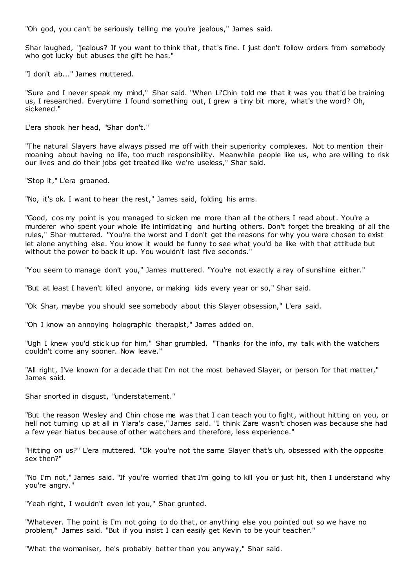"Oh god, you can't be seriously telling me you're jealous," James said.

Shar laughed, "jealous? If you want to think that, that's fine. I just don't follow orders from somebody who got lucky but abuses the gift he has."

"I don't ab..." James muttered.

"Sure and I never speak my mind," Shar said. "When Li'Chin told me that it was you that'd be training us, I researched. Everytime I found something out, I grew a tiny bit more, what's the word? Oh, sickened."

L'era shook her head, "Shar don't."

"The natural Slayers have always pissed me off with their superiority complexes. Not to mention their moaning about having no life, too much responsibility. Meanwhile people like us, who are willing to risk our lives and do their jobs get treated like we're useless," Shar said.

"Stop it," L'era groaned.

"No, it's ok. I want to hear the rest," James said, folding his arms.

"Good, cos my point is you managed to sicken me more than all the others I read about. You're a murderer who spent your whole life intimidating and hurting others. Don't forget the breaking of all the rules," Shar muttered. "You're the worst and I don't get the reasons for why you were chosen to exist let alone anything else. You know it would be funny to see what you'd be like with that attitude but without the power to back it up. You wouldn't last five seconds."

"You seem to manage don't you," James muttered. "You're not exactly a ray of sunshine either."

"But at least I haven't killed anyone, or making kids every year or so," Shar said.

"Ok Shar, maybe you should see somebody about this Slayer obsession," L'era said.

"Oh I know an annoying holographic therapist," James added on.

"Ugh I knew you'd stick up for him," Shar grumbled. "Thanks for the info, my talk with the watchers couldn't come any sooner. Now leave."

"All right, I've known for a decade that I'm not the most behaved Slayer, or person for that matter," James said.

Shar snorted in disgust, "understatement."

"But the reason Wesley and Chin chose me was that I can teach you to fight, without hitting on you, or hell not turning up at all in Ylara's case," James said. "I think Zare wasn't chosen was because she had a few year hiatus because of other watchers and therefore, less experience."

"Hitting on us?" L'era muttered. "Ok you're not the same Slayer that's uh, obsessed with the opposite sex then?"

"No I'm not," James said. "If you're worried that I'm going to kill you or just hit, then I understand why you're angry."

"Yeah right, I wouldn't even let you," Shar grunted.

"Whatever. The point is I'm not going to do that, or anything else you pointed out so we have no problem," James said. "But if you insist I can easily get Kevin to be your teacher."

"What the womaniser, he's probably better than you anyway," Shar said.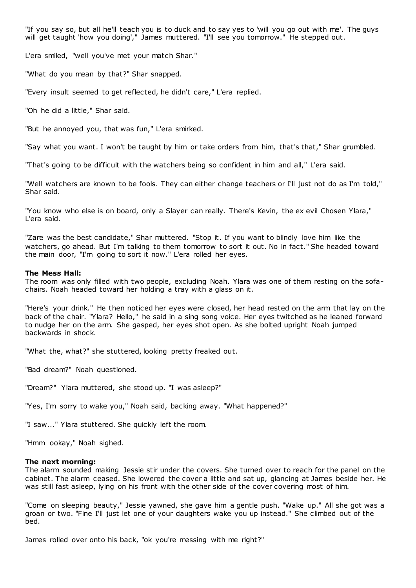"If you say so, but all he'll teach you is to duck and to say yes to 'will you go out with me'. The guys will get taught 'how you doing'," James muttered. "I'll see you tomorrow." He stepped out.

L'era smiled, "well you've met your match Shar."

"What do you mean by that?" Shar snapped.

"Every insult seemed to get reflected, he didn't care," L'era replied.

"Oh he did a little," Shar said.

"But he annoyed you, that was fun," L'era smirked.

"Say what you want. I won't be taught by him or take orders from him, that's that," Shar grumbled.

"That's going to be difficult with the watchers being so confident in him and all," L'era said.

"Well watchers are known to be fools. They can either change teachers or I'll just not do as I'm told," Shar said.

"You know who else is on board, only a Slayer can really. There's Kevin, the ex evil Chosen Ylara," L'era said.

"Zare was the best candidate," Shar muttered. "Stop it. If you want to blindly love him like the watchers, go ahead. But I'm talking to them tomorrow to sort it out. No in fact." She headed toward the main door, "I'm going to sort it now." L'era rolled her eyes.

## **The Mess Hall:**

The room was only filled with two people, excluding Noah. Ylara was one of them resting on the sofachairs. Noah headed toward her holding a tray with a glass on it.

"Here's your drink." He then noticed her eyes were closed, her head rested on the arm that lay on the back of the chair. "Ylara? Hello," he said in a sing song voice. Her eyes twitched as he leaned forward to nudge her on the arm. She gasped, her eyes shot open. As she bolted upright Noah jumped backwards in shock.

"What the, what?" she stuttered, looking pretty freaked out.

"Bad dream?" Noah questioned.

"Dream?" Ylara muttered, she stood up. "I was asleep?"

"Yes, I'm sorry to wake you," Noah said, backing away. "What happened?"

"I saw..." Ylara stuttered. She quickly left the room.

"Hmm ookay," Noah sighed.

# **The next morning:**

The alarm sounded making Jessie stir under the covers. She turned over to reach for the panel on the cabinet. The alarm ceased. She lowered the cover a little and sat up, glancing at James beside her. He was still fast asleep, lying on his front with the other side of the cover covering most of him.

"Come on sleeping beauty," Jessie yawned, she gave him a gentle push. "Wake up." All she got was a groan or two. "Fine I'll just let one of your daughters wake you up instead." She climbed out of the bed.

James rolled over onto his back, "ok you're messing with me right?"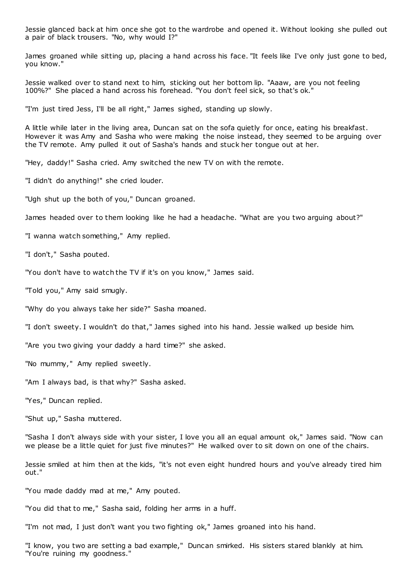Jessie glanced back at him once she got to the wardrobe and opened it. Without looking she pulled out a pair of black trousers. "No, why would I?"

James groaned while sitting up, placing a hand across his face. "It feels like I've only just gone to bed, you know."

Jessie walked over to stand next to him, sticking out her bottom lip. "Aaaw, are you not feeling 100%?" She placed a hand across his forehead. "You don't feel sick, so that's ok."

"I'm just tired Jess, I'll be all right," James sighed, standing up slowly.

A little while later in the living area, Duncan sat on the sofa quietly for once, eating his breakfast. However it was Amy and Sasha who were making the noise instead, they seemed to be arguing over the TV remote. Amy pulled it out of Sasha's hands and stuck her tongue out at her.

"Hey, daddy!" Sasha cried. Amy switched the new TV on with the remote.

"I didn't do anything!" she cried louder.

"Ugh shut up the both of you," Duncan groaned.

James headed over to them looking like he had a headache. "What are you two arguing about?"

"I wanna watch something," Amy replied.

"I don't," Sasha pouted.

"You don't have to watch the TV if it's on you know," James said.

"Told you," Amy said smugly.

"Why do you always take her side?" Sasha moaned.

"I don't sweety. I wouldn't do that," James sighed into his hand. Jessie walked up beside him.

"Are you two giving your daddy a hard time?" she asked.

"No mummy," Amy replied sweetly.

"Am I always bad, is that why?" Sasha asked.

"Yes," Duncan replied.

"Shut up," Sasha muttered.

"Sasha I don't always side with your sister, I love you all an equal amount ok," James said. "Now can we please be a little quiet for just five minutes?" He walked over to sit down on one of the chairs.

Jessie smiled at him then at the kids, "it's not even eight hundred hours and you've already tired him out."

"You made daddy mad at me," Amy pouted.

"You did that to me," Sasha said, folding her arms in a huff.

"I'm not mad, I just don't want you two fighting ok," James groaned into his hand.

"I know, you two are setting a bad example," Duncan smirked. His sisters stared blankly at him. "You're ruining my goodness."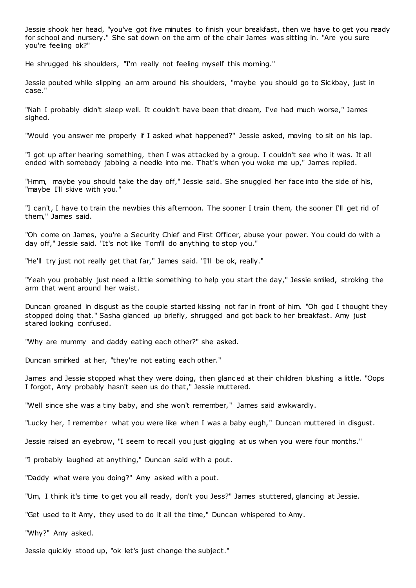Jessie shook her head, "you've got five minutes to finish your breakfast, then we have to get you ready for school and nursery." She sat down on the arm of the chair James was sitting in. "Are you sure you're feeling ok?"

He shrugged his shoulders, "I'm really not feeling myself this morning."

Jessie pouted while slipping an arm around his shoulders, "maybe you should go to Sickbay, just in case."

"Nah I probably didn't sleep well. It couldn't have been that dream, I've had much worse," James sighed.

"Would you answer me properly if I asked what happened?" Jessie asked, moving to sit on his lap.

"I got up after hearing something, then I was attacked by a group. I couldn't see who it was. It all ended with somebody jabbing a needle into me. That's when you woke me up," James replied.

"Hmm, maybe you should take the day off," Jessie said. She snuggled her face into the side of his, "maybe I'll skive with you."

"I can't, I have to train the newbies this afternoon. The sooner I train them, the sooner I'll get rid of them," James said.

"Oh come on James, you're a Security Chief and First Officer, abuse your power. You could do with a day off," Jessie said. "It's not like Tom'll do anything to stop you."

"He'll try just not really get that far," James said. "I'll be ok, really."

"Yeah you probably just need a little something to help you start the day," Jessie smiled, stroking the arm that went around her waist.

Duncan groaned in disgust as the couple started kissing not far in front of him. "Oh god I thought they stopped doing that." Sasha glanced up briefly, shrugged and got back to her breakfast. Amy just stared looking confused.

"Why are mummy and daddy eating each other?" she asked.

Duncan smirked at her, "they're not eating each other."

James and Jessie stopped what they were doing, then glanc ed at their children blushing a little. "Oops I forgot, Amy probably hasn't seen us do that," Jessie muttered.

"Well since she was a tiny baby, and she won't remember," James said awkwardly.

"Lucky her, I remember what you were like when I was a baby eugh," Duncan muttered in disgust.

Jessie raised an eyebrow, "I seem to recall you just giggling at us when you were four months."

"I probably laughed at anything," Duncan said with a pout.

"Daddy what were you doing?" Amy asked with a pout.

"Um, I think it's time to get you all ready, don't you Jess?" James stuttered, glancing at Jessie.

"Get used to it Amy, they used to do it all the time," Duncan whispered to Amy.

"Why?" Amy asked.

Jessie quickly stood up, "ok let's just change the subject."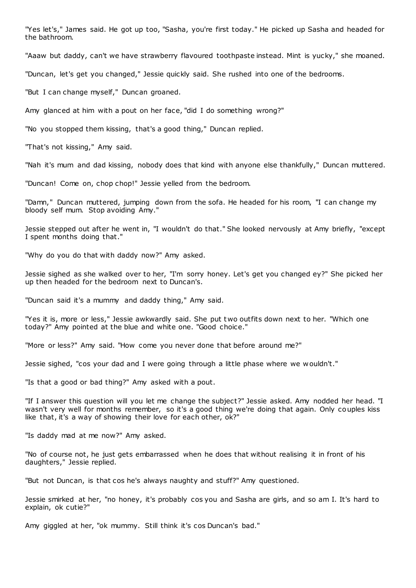"Yes let's," James said. He got up too, "Sasha, you're first today." He picked up Sasha and headed for the bathroom.

"Aaaw but daddy, can't we have strawberry flavoured toothpaste instead. Mint is yucky," she moaned.

"Duncan, let's get you changed," Jessie quickly said. She rushed into one of the bedrooms.

"But I can change myself," Duncan groaned.

Amy glanced at him with a pout on her face, "did I do something wrong?"

"No you stopped them kissing, that's a good thing," Duncan replied.

"That's not kissing," Amy said.

"Nah it's mum and dad kissing, nobody does that kind with anyone else thankfully," Duncan muttered.

"Duncan! Come on, chop chop!" Jessie yelled from the bedroom.

"Damn," Duncan muttered, jumping down from the sofa. He headed for his room, "I can change my bloody self mum. Stop avoiding Amy."

Jessie stepped out after he went in, "I wouldn't do that." She looked nervously at Amy briefly, "except I spent months doing that."

"Why do you do that with daddy now?" Amy asked.

Jessie sighed as she walked over to her, "I'm sorry honey. Let's get you changed ey?" She picked her up then headed for the bedroom next to Duncan's.

"Duncan said it's a mummy and daddy thing," Amy said.

"Yes it is, more or less," Jessie awkwardly said. She put two outfits down next to her. "Which one today?" Amy pointed at the blue and white one. "Good choice."

"More or less?" Amy said. "How come you never done that before around me?"

Jessie sighed, "cos your dad and I were going through a little phase where we wouldn't."

"Is that a good or bad thing?" Amy asked with a pout.

"If I answer this question will you let me change the subject?" Jessie asked. Amy nodded her head. "I wasn't very well for months remember, so it's a good thing we're doing that again. Only couples kiss like that, it's a way of showing their love for each other, ok?"

"Is daddy mad at me now?" Amy asked.

"No of course not, he just gets embarrassed when he does that without realising it in front of his daughters," Jessie replied.

"But not Duncan, is that cos he's always naughty and stuff?" Amy questioned.

Jessie smirked at her, "no honey, it's probably cos you and Sasha are girls, and so am I. It's hard to explain, ok cutie?"

Amy giggled at her, "ok mummy. Still think it's cos Duncan's bad."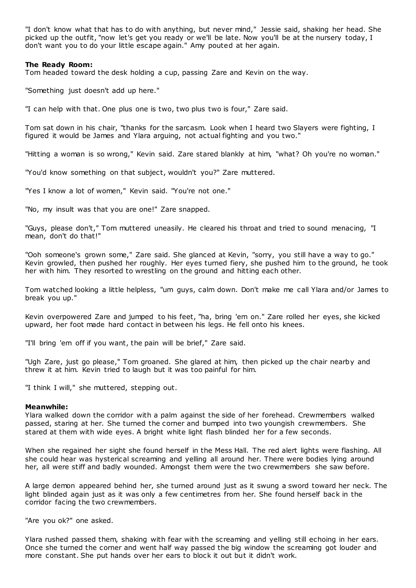"I don't know what that has to do with anything, but never mind," Jessie said, shaking her head. She picked up the outfit, "now let's get you ready or we'll be late. Now you'll be at the nursery today, I don't want you to do your little escape again." Amy pouted at her again.

## **The Ready Room:**

Tom headed toward the desk holding a cup, passing Zare and Kevin on the way.

"Something just doesn't add up here."

"I can help with that. One plus one is two, two plus two is four," Zare said.

Tom sat down in his chair, "thanks for the sarcasm. Look when I heard two Slayers were fighting, I figured it would be James and Ylara arguing, not actual fighting and you two."

"Hitting a woman is so wrong," Kevin said. Zare stared blankly at him, "what? Oh you're no woman."

"You'd know something on that subject, wouldn't you?" Zare muttered.

"Yes I know a lot of women," Kevin said. "You're not one."

"No, my insult was that you are one!" Zare snapped.

"Guys, please don't," Tom muttered uneasily. He cleared his throat and tried to sound menacing, "I mean, don't do that!"

"Ooh someone's grown some," Zare said. She glanced at Kevin, "sorry, you still have a way to go." Kevin growled, then pushed her roughly. Her eyes turned fiery, she pushed him to the ground, he took her with him. They resorted to wrestling on the ground and hitting each other.

Tom watched looking a little helpless, "um guys, calm down. Don't make me call Ylara and/or James to break you up."

Kevin overpowered Zare and jumped to his feet, "ha, bring 'em on." Zare rolled her eyes, she kicked upward, her foot made hard contact in between his legs. He fell onto his knees.

"I'll bring 'em off if you want, the pain will be brief," Zare said.

"Ugh Zare, just go please," Tom groaned. She glared at him, then picked up the chair nearby and threw it at him. Kevin tried to laugh but it was too painful for him.

"I think I will," she muttered, stepping out.

## **Meanwhile:**

Ylara walked down the corridor with a palm against the side of her forehead. Crewmembers walked passed, staring at her. She turned the corner and bumped into two youngish crewmembers. She stared at them with wide eyes. A bright white light flash blinded her for a few seconds.

When she regained her sight she found herself in the Mess Hall. The red alert lights were flashing. All she could hear was hysterical screaming and yelling all around her. There were bodies lying around her, all were stiff and badly wounded. Amongst them were the two crewmembers she saw before.

A large demon appeared behind her, she turned around just as it swung a sword toward her neck. The light blinded again just as it was only a few centimetres from her. She found herself back in the corridor facing the two crewmembers.

"Are you ok?" one asked.

Ylara rushed passed them, shaking with fear with the screaming and yelling still echoing in her ears. Once she turned the corner and went half way passed the big window the screaming got louder and more constant. She put hands over her ears to block it out but it didn't work.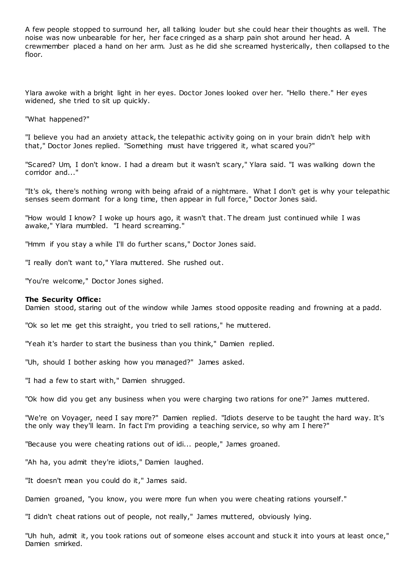A few people stopped to surround her, all talking louder but she could hear their thoughts as well. The noise was now unbearable for her, her face cringed as a sharp pain shot around her head. A crewmember placed a hand on her arm. Just as he did she screamed hysterically, then collapsed to the floor.

Ylara awoke with a bright light in her eyes. Doctor Jones looked over her. "Hello there." Her eyes widened, she tried to sit up quickly.

"What happened?"

"I believe you had an anxiety attack, the telepathic activity going on in your brain didn't help with that," Doctor Jones replied. "Something must have triggered it, what scared you?"

"Scared? Um, I don't know. I had a dream but it wasn't scary," Ylara said. "I was walking down the corridor and...'

"It's ok, there's nothing wrong with being afraid of a nightmare. What I don't get is why your telepathic senses seem dormant for a long time, then appear in full force," Doctor Jones said.

"How would I know? I woke up hours ago, it wasn't that. The dream just continued while I was awake," Ylara mumbled. "I heard screaming."

"Hmm if you stay a while I'll do further scans," Doctor Jones said.

"I really don't want to," Ylara muttered. She rushed out.

"You're welcome," Doctor Jones sighed.

## **The Security Office:**

Damien stood, staring out of the window while James stood opposite reading and frowning at a padd.

"Ok so let me get this straight, you tried to sell rations," he muttered.

"Yeah it's harder to start the business than you think," Damien replied.

"Uh, should I bother asking how you managed?" James asked.

"I had a few to start with," Damien shrugged.

"Ok how did you get any business when you were charging two rations for one?" James muttered.

"We're on Voyager, need I say more?" Damien replied. "Idiots deserve to be taught the hard way. It's the only way they'll learn. In fact I'm providing a teaching service, so why am I here?"

"Because you were cheating rations out of idi... people," James groaned.

"Ah ha, you admit they're idiots," Damien laughed.

"It doesn't mean you could do it," James said.

Damien groaned, "you know, you were more fun when you were cheating rations yourself."

"I didn't cheat rations out of people, not really," James muttered, obviously lying.

"Uh huh, admit it, you took rations out of someone elses account and stuck it into yours at least once," Damien smirked.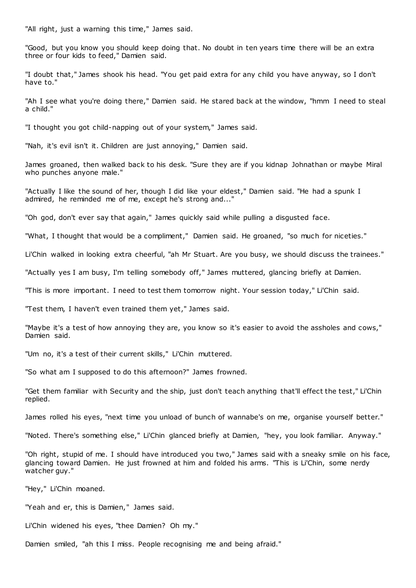"All right, just a warning this time," James said.

"Good, but you know you should keep doing that. No doubt in ten years time there will be an extra three or four kids to feed," Damien said.

"I doubt that," James shook his head. "You get paid extra for any child you have anyway, so I don't have to."

"Ah I see what you're doing there," Damien said. He stared back at the window, "hmm I need to steal a child."

"I thought you got child-napping out of your system," James said.

"Nah, it's evil isn't it. Children are just annoying," Damien said.

James groaned, then walked back to his desk. "Sure they are if you kidnap Johnathan or maybe Miral who punches anyone male."

"Actually I like the sound of her, though I did like your eldest," Damien said. "He had a spunk I admired, he reminded me of me, except he's strong and..."

"Oh god, don't ever say that again," James quickly said while pulling a disgusted face.

"What, I thought that would be a compliment," Damien said. He groaned, "so much for niceties."

Li'Chin walked in looking extra cheerful, "ah Mr Stuart. Are you busy, we should discuss the trainees."

"Actually yes I am busy, I'm telling somebody off," James muttered, glancing briefly at Damien.

"This is more important. I need to test them tomorrow night. Your session today," Li'Chin said.

"Test them, I haven't even trained them yet," James said.

"Maybe it's a test of how annoying they are, you know so it's easier to avoid the assholes and cows," Damien said.

"Um no, it's a test of their current skills," Li'Chin muttered.

"So what am I supposed to do this afternoon?" James frowned.

"Get them familiar with Security and the ship, just don't teach anything that'll effect the test," Li'Chin replied.

James rolled his eyes, "next time you unload of bunch of wannabe's on me, organise yourself better."

"Noted. There's something else," Li'Chin glanced briefly at Damien, "hey, you look familiar. Anyway."

"Oh right, stupid of me. I should have introduced you two," James said with a sneaky smile on his face, glancing toward Damien. He just frowned at him and folded his arms. "This is Li'Chin, some nerdy watcher guy."

"Hey," Li'Chin moaned.

"Yeah and er, this is Damien," James said.

Li'Chin widened his eyes, "thee Damien? Oh my."

Damien smiled, "ah this I miss. People recognising me and being afraid."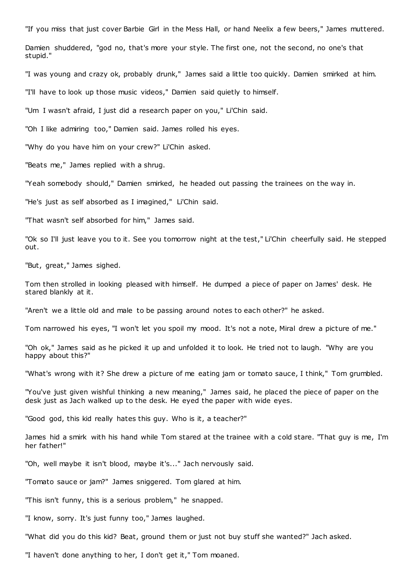"If you miss that just cover Barbie Girl in the Mess Hall, or hand Neelix a few beers," James muttered.

Damien shuddered, "god no, that's more your style. The first one, not the second, no one's that stupid."

"I was young and crazy ok, probably drunk," James said a little too quickly. Damien smirked at him.

"I'll have to look up those music videos," Damien said quietly to himself.

"Um I wasn't afraid, I just did a research paper on you," Li'Chin said.

"Oh I like admiring too," Damien said. James rolled his eyes.

"Why do you have him on your crew?" Li'Chin asked.

"Beats me," James replied with a shrug.

"Yeah somebody should," Damien smirked, he headed out passing the trainees on the way in.

"He's just as self absorbed as I imagined," Li'Chin said.

"That wasn't self absorbed for him," James said.

"Ok so I'll just leave you to it. See you tomorrow night at the test," Li'Chin cheerfully said. He stepped out.

"But, great," James sighed.

Tom then strolled in looking pleased with himself. He dumped a piece of paper on James' desk. He stared blankly at it.

"Aren't we a little old and male to be passing around notes to each other?" he asked.

Tom narrowed his eyes, "I won't let you spoil my mood. It's not a note, Miral drew a picture of me."

"Oh ok," James said as he picked it up and unfolded it to look. He tried not to laugh. "Why are you happy about this?"

"What's wrong with it? She drew a picture of me eating jam or tomato sauce, I think," Tom grumbled.

"You've just given wishful thinking a new meaning," James said, he placed the piece of paper on the desk just as Jach walked up to the desk. He eyed the paper with wide eyes.

"Good god, this kid really hates this guy. Who is it, a teacher?"

James hid a smirk with his hand while Tom stared at the trainee with a cold stare. "That guy is me, I'm her father!"

"Oh, well maybe it isn't blood, maybe it's..." Jach nervously said.

"Tomato sauce or jam?" James sniggered. Tom glared at him.

"This isn't funny, this is a serious problem," he snapped.

"I know, sorry. It's just funny too," James laughed.

"What did you do this kid? Beat, ground them or just not buy stuff she wanted?" Jach asked.

"I haven't done anything to her, I don't get it," Tom moaned.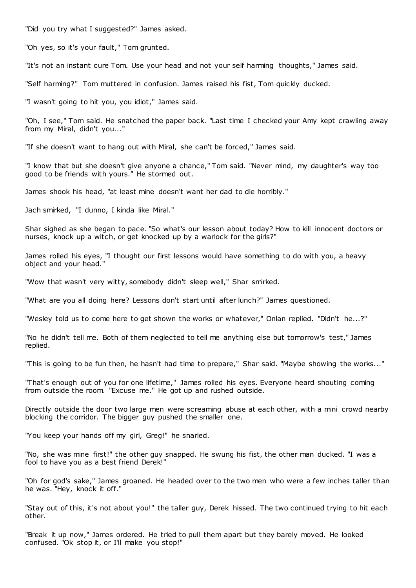"Did you try what I suggested?" James asked.

"Oh yes, so it's your fault," Tom grunted.

"It's not an instant cure Tom. Use your head and not your self harming thoughts," James said.

"Self harming?" Tom muttered in confusion. James raised his fist, Tom quickly ducked.

"I wasn't going to hit you, you idiot," James said.

"Oh, I see," Tom said. He snatched the paper back. "Last time I checked your Amy kept crawling away from my Miral, didn't you..."

"If she doesn't want to hang out with Miral, she can't be forced," James said.

"I know that but she doesn't give anyone a chance," Tom said. "Never mind, my daughter's way too good to be friends with yours." He stormed out.

James shook his head, "at least mine doesn't want her dad to die horribly."

Jach smirked, "I dunno, I kinda like Miral."

Shar sighed as she began to pace. "So what's our lesson about today? How to kill innocent doctors or nurses, knock up a witch, or get knocked up by a warlock for the girls?"

James rolled his eyes, "I thought our first lessons would have something to do with you, a heavy object and your head."

"Wow that wasn't very witty, somebody didn't sleep well," Shar smirked.

"What are you all doing here? Lessons don't start until after lunch?" James questioned.

"Wesley told us to come here to get shown the works or whatever," Onlan replied. "Didn't he...?"

"No he didn't tell me. Both of them neglected to tell me anything else but tomorrow's test," James replied.

"This is going to be fun then, he hasn't had time to prepare," Shar said. "Maybe showing the works..."

"That's enough out of you for one lifetime," James rolled his eyes. Everyone heard shouting coming from outside the room. "Excuse me." He got up and rushed outside.

Directly outside the door two large men were screaming abuse at each other, with a mini crowd nearby blocking the corridor. The bigger guy pushed the smaller one.

"You keep your hands off my girl, Greg!" he snarled.

"No, she was mine first!" the other guy snapped. He swung his fist, the other man ducked. "I was a fool to have you as a best friend Derek!"

"Oh for god's sake," James groaned. He headed over to the two men who were a few inches taller than he was. "Hey, knock it off."

"Stay out of this, it's not about you!" the taller guy, Derek hissed. The two continued trying to hit each other.

"Break it up now," James ordered. He tried to pull them apart but they barely moved. He looked confused. "Ok stop it, or I'll make you stop!"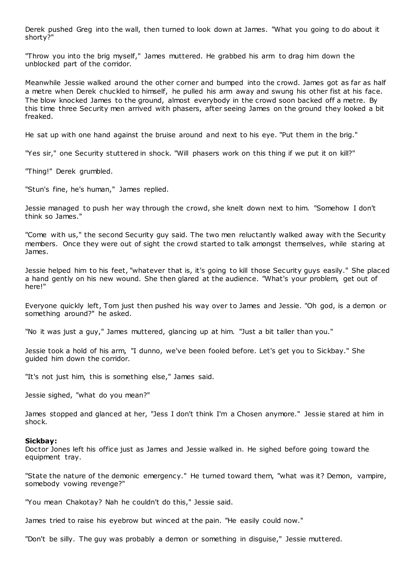Derek pushed Greg into the wall, then turned to look down at James. "What you going to do about it shorty?"

"Throw you into the brig myself," James muttered. He grabbed his arm to drag him down the unblocked part of the corridor.

Meanwhile Jessie walked around the other corner and bumped into the crowd. James got as far as half a metre when Derek chuckled to himself, he pulled his arm away and swung his other fist at his face. The blow knocked James to the ground, almost everybody in the crowd soon backed off a metre. By this time three Security men arrived with phasers, after seeing James on the ground they looked a bit freaked.

He sat up with one hand against the bruise around and next to his eye. "Put them in the brig."

"Yes sir," one Security stuttered in shock. "Will phasers work on this thing if we put it on kill?"

"Thing!" Derek grumbled.

"Stun's fine, he's human," James replied.

Jessie managed to push her way through the crowd, she knelt down next to him. "Somehow I don't think so James."

"Come with us," the second Security guy said. The two men reluctantly walked away with the Security members. Once they were out of sight the crowd started to talk amongst themselves, while staring at James.

Jessie helped him to his feet, "whatever that is, it's going to kill those Security guys easily." She placed a hand gently on his new wound. She then glared at the audience. "What's your problem, get out of here!"

Everyone quickly left, Tom just then pushed his way over to James and Jessie. "Oh god, is a demon or something around?" he asked.

"No it was just a guy," James muttered, glancing up at him. "Just a bit taller than you."

Jessie took a hold of his arm, "I dunno, we've been fooled before. Let's get you to Sickbay." She guided him down the corridor.

"It's not just him, this is something else," James said.

Jessie sighed, "what do you mean?"

James stopped and glanced at her, "Jess I don't think I'm a Chosen anymore." Jessie stared at him in shock.

## **Sickbay:**

Doctor Jones left his office just as James and Jessie walked in. He sighed before going toward the equipment tray.

"State the nature of the demonic emergency." He turned toward them, "what was it? Demon, vampire, somebody vowing revenge?"

"You mean Chakotay? Nah he couldn't do this," Jessie said.

James tried to raise his eyebrow but winced at the pain. "He easily could now."

"Don't be silly. The guy was probably a demon or something in disguise," Jessie muttered.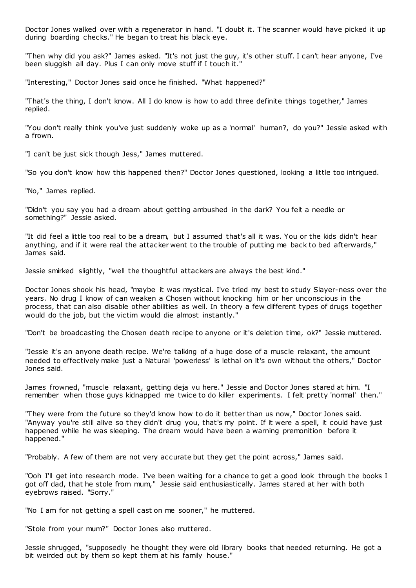Doctor Jones walked over with a regenerator in hand. "I doubt it. The scanner would have picked it up during boarding checks." He began to treat his black eye.

"Then why did you ask?" James asked. "It's not just the guy, it's other stuff. I can't hear anyone, I've been sluggish all day. Plus I can only move stuff if I touch it."

"Interesting," Doctor Jones said once he finished. "What happened?"

"That's the thing, I don't know. All I do know is how to add three definite things together," James replied.

"You don't really think you've just suddenly woke up as a 'normal' human?, do you?" Jessie asked with a frown.

"I can't be just sick though Jess," James muttered.

"So you don't know how this happened then?" Doctor Jones questioned, looking a little too intrigued.

"No," James replied.

"Didn't you say you had a dream about getting ambushed in the dark? You felt a needle or something?" Jessie asked.

"It did feel a little too real to be a dream, but I assumed that's all it was. You or the kids didn't hear anything, and if it were real the attacker went to the trouble of putting me back to bed afterwards," James said.

Jessie smirked slightly, "well the thoughtful attackers are always the best kind."

Doctor Jones shook his head, "maybe it was mystical. I've tried my best to study Slayer-ness over the years. No drug I know of can weaken a Chosen without knocking him or her unconscious in the process, that can also disable other abilities as well. In theory a few different types of drugs together would do the job, but the victim would die almost instantly."

"Don't be broadcasting the Chosen death recipe to anyone or it's deletion time, ok?" Jessie muttered.

"Jessie it's an anyone death recipe. We're talking of a huge dose of a muscle relaxant, the amount needed to effectively make just a Natural 'powerless' is lethal on it's own without the others," Doctor Jones said.

James frowned, "muscle relaxant, getting deja vu here." Jessie and Doctor Jones stared at him. "I remember when those guys kidnapped me twice to do killer experiment s. I felt pretty 'normal' then."

"They were from the future so they'd know how to do it better than us now," Doctor Jones said. "Anyway you're still alive so they didn't drug you, that's my point. If it were a spell, it could have just happened while he was sleeping. The dream would have been a warning premonition before it happened."

"Probably. A few of them are not very accurate but they get the point across," James said.

"Ooh I'll get into research mode. I've been waiting for a chance to get a good look through the books I got off dad, that he stole from mum," Jessie said enthusiastically. James stared at her with both eyebrows raised. "Sorry."

"No I am for not getting a spell cast on me sooner," he muttered.

"Stole from your mum?" Doctor Jones also muttered.

Jessie shrugged, "supposedly he thought they were old library books that needed returning. He got a bit weirded out by them so kept them at his family house."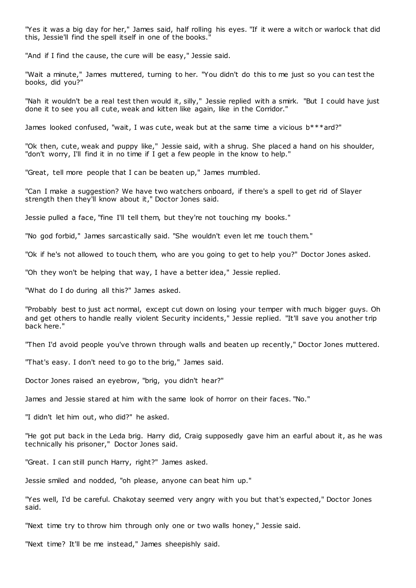"Yes it was a big day for her," James said, half rolling his eyes. "If it were a witch or warlock that did this, Jessie'll find the spell itself in one of the books."

"And if I find the cause, the cure will be easy," Jessie said.

"Wait a minute," James muttered, turning to her. "You didn't do this to me just so you can test the books, did you?"

"Nah it wouldn't be a real test then would it, silly," Jessie replied with a smirk. "But I could have just done it to see you all cute, weak and kitten like again, like in the Corridor."

James looked confused, "wait, I was cute, weak but at the same time a vicious b\*\*\*ard?"

"Ok then, cute, weak and puppy like," Jessie said, with a shrug. She placed a hand on his shoulder, "don't worry, I'll find it in no time if I get a few people in the know to help."

"Great, tell more people that I can be beaten up," James mumbled.

"Can I make a suggestion? We have two watchers onboard, if there's a spell to get rid of Slayer strength then they'll know about it," Doctor Jones said.

Jessie pulled a face, "fine I'll tell them, but they're not touching my books."

"No god forbid," James sarcastically said. "She wouldn't even let me touch them."

"Ok if he's not allowed to touch them, who are you going to get to help you?" Doctor Jones asked.

"Oh they won't be helping that way, I have a better idea," Jessie replied.

"What do I do during all this?" James asked.

"Probably best to just act normal, except cut down on losing your temper with much bigger guys. Oh and get others to handle really violent Security incidents," Jessie replied. "It'll save you another trip back here."

"Then I'd avoid people you've thrown through walls and beaten up recently," Doctor Jones muttered.

"That's easy. I don't need to go to the brig," James said.

Doctor Jones raised an eyebrow, "brig, you didn't hear?"

James and Jessie stared at him with the same look of horror on their faces. "No."

"I didn't let him out, who did?" he asked.

"He got put back in the Leda brig. Harry did, Craig supposedly gave him an earful about it, as he was technically his prisoner," Doctor Jones said.

"Great. I can still punch Harry, right?" James asked.

Jessie smiled and nodded, "oh please, anyone can beat him up."

"Yes well, I'd be careful. Chakotay seemed very angry with you but that's expected," Doctor Jones said.

"Next time try to throw him through only one or two walls honey," Jessie said.

"Next time? It'll be me instead," James sheepishly said.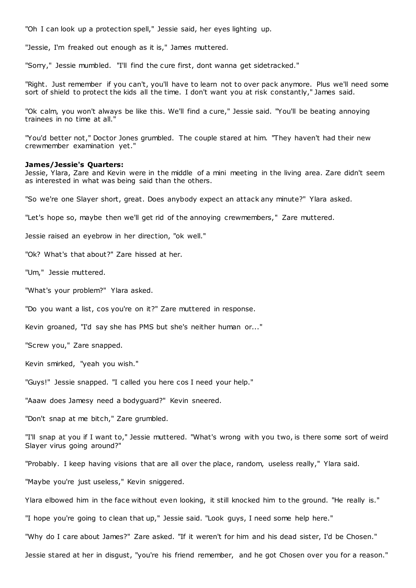"Oh I can look up a protection spell," Jessie said, her eyes lighting up.

"Jessie, I'm freaked out enough as it is," James muttered.

"Sorry," Jessie mumbled. "I'll find the cure first, dont wanna get sidetracked."

"Right. Just remember if you can't, you'll have to learn not to over pack anymore. Plus we'll need some sort of shield to protect the kids all the time. I don't want you at risk constantly," James said.

"Ok calm, you won't always be like this. We'll find a cure," Jessie said. "You'll be beating annoying trainees in no time at all."

"You'd better not," Doctor Jones grumbled. The couple stared at him. "They haven't had their new crewmember examination yet."

## **James/Jessie's Quarters:**

Jessie, Ylara, Zare and Kevin were in the middle of a mini meeting in the living area. Zare didn't seem as interested in what was being said than the others.

"So we're one Slayer short, great. Does anybody expect an attack any minute?" Ylara asked.

"Let's hope so, maybe then we'll get rid of the annoying crewmembers," Zare muttered.

Jessie raised an eyebrow in her direction, "ok well."

"Ok? What's that about?" Zare hissed at her.

"Um," Jessie muttered.

"What's your problem?" Ylara asked.

"Do you want a list, cos you're on it?" Zare muttered in response.

Kevin groaned, "I'd say she has PMS but she's neither human or..."

"Screw you," Zare snapped.

Kevin smirked, "yeah you wish."

"Guys!" Jessie snapped. "I called you here cos I need your help."

"Aaaw does Jamesy need a bodyguard?" Kevin sneered.

"Don't snap at me bitch," Zare grumbled.

"I'll snap at you if I want to," Jessie muttered. "What's wrong with you two, is there some sort of weird Slayer virus going around?"

"Probably. I keep having visions that are all over the place, random, useless really," Ylara said.

"Maybe you're just useless," Kevin sniggered.

Ylara elbowed him in the face without even looking, it still knocked him to the ground. "He really is."

"I hope you're going to clean that up," Jessie said. "Look guys, I need some help here."

"Why do I care about James?" Zare asked. "If it weren't for him and his dead sister, I'd be Chosen."

Jessie stared at her in disgust, "you're his friend remember, and he got Chosen over you for a reason."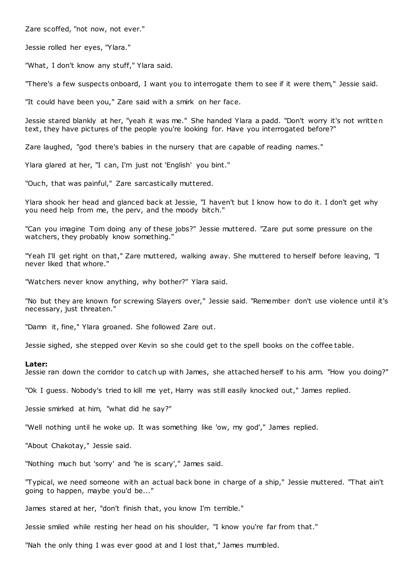Zare scoffed, "not now, not ever."

Jessie rolled her eyes, "Ylara."

"What, I don't know any stuff," Ylara said.

"There's a few suspects onboard, I want you to interrogate them to see if it were them," Jessie said.

"It could have been you," Zare said with a smirk on her face.

Jessie stared blankly at her, "yeah it was me." She handed Ylara a padd. "Don't worry it's not written text, they have pictures of the people you're looking for. Have you interrogated before?"

Zare laughed, "god there's babies in the nursery that are capable of reading names."

Ylara glared at her, "I can, I'm just not 'English' you bint."

"Ouch, that was painful," Zare sarcastically muttered.

Ylara shook her head and glanced back at Jessie, "I haven't but I know how to do it. I don't get why you need help from me, the perv, and the moody bitch."

"Can you imagine Tom doing any of these jobs?" Jessie muttered. "Zare put some pressure on the watchers, they probably know something."

"Yeah I'll get right on that," Zare muttered, walking away. She muttered to herself before leaving, "I never liked that whore."

"Watchers never know anything, why bother?" Ylara said.

"No but they are known for screwing Slayers over," Jessie said. "Remember don't use violence until it's necessary, just threaten."

"Damn it, fine," Ylara groaned. She followed Zare out.

Jessie sighed, she stepped over Kevin so she could get to the spell books on the coffee table.

#### **Later:**

Jessie ran down the corridor to catch up with James, she attached herself to his arm. "How you doing?"

"Ok I guess. Nobody's tried to kill me yet, Harry was still easily knocked out," James replied.

Jessie smirked at him, "what did he say?"

"Well nothing until he woke up. It was something like 'ow, my god'," James replied.

"About Chakotay," Jessie said.

"Nothing much but 'sorry' and 'he is scary'," James said.

"Typical, we need someone with an actual back bone in charge of a ship," Jessie muttered. "That ain't going to happen, maybe you'd be..."

James stared at her, "don't finish that, you know I'm terrible."

Jessie smiled while resting her head on his shoulder, "I know you're far from that."

"Nah the only thing I was ever good at and I lost that," James mumbled.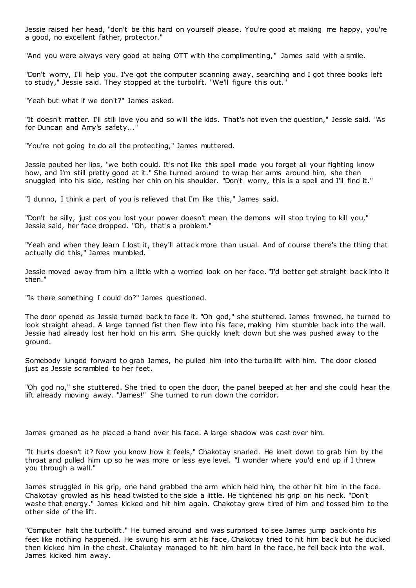Jessie raised her head, "don't be this hard on yourself please. You're good at making me happy, you're a good, no excellent father, protector."

"And you were always very good at being OTT with the complimenting," James said with a smile.

"Don't worry, I'll help you. I've got the computer scanning away, searching and I got three books left to study," Jessie said. They stopped at the turbolift. "We'll figure this out."

"Yeah but what if we don't?" James asked.

"It doesn't matter. I'll still love you and so will the kids. That's not even the question," Jessie said. "As for Duncan and Amy's safety..."

"You're not going to do all the protecting," James muttered.

Jessie pouted her lips, "we both could. It's not like this spell made you forget all your fighting know how, and I'm still pretty good at it." She turned around to wrap her arms around him, she then snuggled into his side, resting her chin on his shoulder. "Don't worry, this is a spell and I'll find it."

"I dunno, I think a part of you is relieved that I'm like this," James said.

"Don't be silly, just cos you lost your power doesn't mean the demons will stop trying to kill you," Jessie said, her face dropped. "Oh, that's a problem."

"Yeah and when they learn I lost it, they'll attack more than usual. And of course there's the thing that actually did this," James mumbled.

Jessie moved away from him a little with a worried look on her face. "I'd better get straight back into it then."

"Is there something I could do?" James questioned.

The door opened as Jessie turned back to face it. "Oh god," she stuttered. James frowned, he turned to look straight ahead. A large tanned fist then flew into his face, making him stumble back into the wall. Jessie had already lost her hold on his arm. She quickly knelt down but she was pushed away to the ground.

Somebody lunged forward to grab James, he pulled him into the turbolift with him. The door closed just as Jessie scrambled to her feet.

"Oh god no," she stuttered. She tried to open the door, the panel beeped at her and she could hear the lift already moving away. "James!" She turned to run down the corridor.

James groaned as he placed a hand over his face. A large shadow was cast over him.

"It hurts doesn't it? Now you know how it feels," Chakotay snarled. He knelt down to grab him by the throat and pulled him up so he was more or less eye level. "I wonder where you'd end up if I threw you through a wall."

James struggled in his grip, one hand grabbed the arm which held him, the other hit him in the face. Chakotay growled as his head twisted to the side a little. He tightened his grip on his neck. "Don't waste that energy." James kicked and hit him again. Chakotay grew tired of him and tossed him to the other side of the lift.

"Computer halt the turbolift." He turned around and was surprised to see James jump back onto his feet like nothing happened. He swung his arm at his face, Chakotay tried to hit him back but he ducked then kicked him in the chest. Chakotay managed to hit him hard in the face, he fell back into the wall. James kicked him away.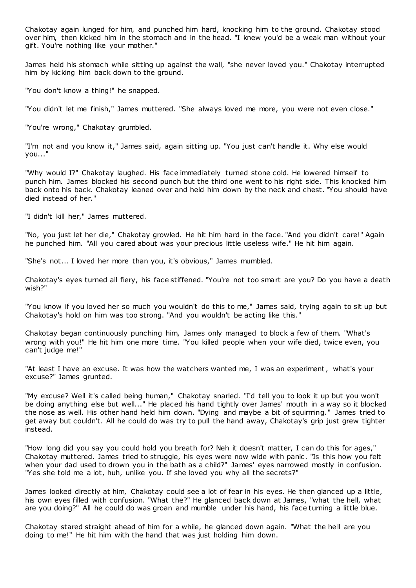Chakotay again lunged for him, and punched him hard, knocking him to the ground. Chakotay stood over him, then kicked him in the stomach and in the head. "I knew you'd be a weak man without your gift. You're nothing like your mother."

James held his stomach while sitting up against the wall, "she never loved you." Chakotay interrupted him by kicking him back down to the ground.

"You don't know a thing!" he snapped.

"You didn't let me finish," James muttered. "She always loved me more, you were not even close."

"You're wrong," Chakotay grumbled.

"I'm not and you know it," James said, again sitting up. "You just can't handle it. Why else would you..."

"Why would I?" Chakotay laughed. His face immediately turned stone cold. He lowered himself to punch him. James blocked his second punch but the third one went to his right side. This knocked him back onto his back. Chakotay leaned over and held him down by the neck and chest. "You should have died instead of her."

"I didn't kill her," James muttered.

"No, you just let her die," Chakotay growled. He hit him hard in the face. "And you didn't care!" Again he punched him. "All you cared about was your precious little useless wife." He hit him again.

"She's not... I loved her more than you, it's obvious," James mumbled.

Chakotay's eyes turned all fiery, his face stiffened. "You're not too smart are you? Do you have a death wish?"

"You know if you loved her so much you wouldn't do this to me," James said, trying again to sit up but Chakotay's hold on him was too strong. "And you wouldn't be acting like this."

Chakotay began continuously punching him, James only managed to block a few of them. "What's wrong with you!" He hit him one more time. "You killed people when your wife died, twice even, you can't judge me!"

"At least I have an excuse. It was how the watchers wanted me, I was an experiment, what's your excuse?" James grunted.

"My excuse? Well it's called being human," Chakotay snarled. "I'd tell you to look it up but you won't be doing anything else but well..." He placed his hand tightly over James' mouth in a way so it blocked the nose as well. His other hand held him down. "Dying and maybe a bit of squirming." James tried to get away but couldn't. All he could do was try to pull the hand away, Chakotay's grip just grew tighter instead.

"How long did you say you could hold you breath for? Neh it doesn't matter, I can do this for ages," Chakotay muttered. James tried to struggle, his eyes were now wide with panic . "Is this how you felt when your dad used to drown you in the bath as a child?" James' eyes narrowed mostly in confusion. "Yes she told me a lot, huh, unlike you. If she loved you why all the secrets?"

James looked directly at him, Chakotay could see a lot of fear in his eyes. He then glanced up a little, his own eyes filled with confusion. "What the?" He glanced back down at James, "what the hell, what are you doing?" All he could do was groan and mumble under his hand, his face turning a little blue.

Chakotay stared straight ahead of him for a while, he glanced down again. "What the hell are you doing to me!" He hit him with the hand that was just holding him down.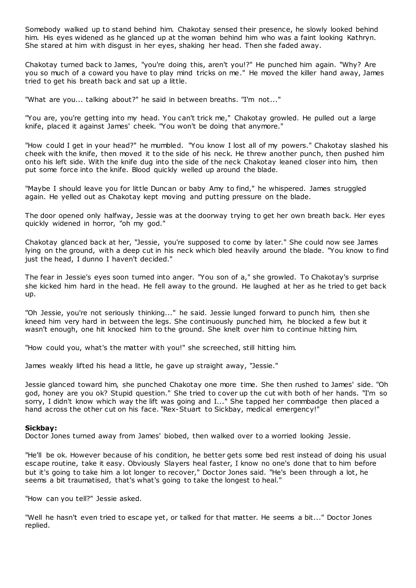Somebody walked up to stand behind him. Chakotay sensed their presence, he slowly looked behind him. His eyes widened as he glanced up at the woman behind him who was a faint looking Kathryn. She stared at him with disgust in her eyes, shaking her head. Then she faded away.

Chakotay turned back to James, "you're doing this, aren't you!?" He punched him again. "Why? Are you so much of a coward you have to play mind tricks on me." He moved the killer hand away, James tried to get his breath back and sat up a little.

"What are you... talking about?" he said in between breaths. "I'm not..."

"You are, you're getting into my head. You can't trick me," Chakotay growled. He pulled out a large knife, placed it against James' cheek. "You won't be doing that anymore."

"How could I get in your head?" he mumbled. "You know I lost all of my powers." Chakotay slashed his cheek with the knife, then moved it to the side of his neck. He threw another punch, then pushed him onto his left side. With the knife dug into the side of the neck Chakotay leaned closer into him, then put some force into the knife. Blood quickly welled up around the blade.

"Maybe I should leave you for little Duncan or baby Amy to find," he whispered. James struggled again. He yelled out as Chakotay kept moving and putting pressure on the blade.

The door opened only halfway, Jessie was at the doorway trying to get her own breath back. Her eyes quickly widened in horror, "oh my god."

Chakotay glanced back at her, "Jessie, you're supposed to come by later." She could now see James lying on the ground, with a deep cut in his neck which bled heavily around the blade. "You know to find just the head, I dunno I haven't decided."

The fear in Jessie's eyes soon turned into anger. "You son of a," she growled. To Chakotay's surprise she kicked him hard in the head. He fell away to the ground. He laughed at her as he tried to get back up.

"Oh Jessie, you're not seriously thinking..." he said. Jessie lunged forward to punch him, then she kneed him very hard in between the legs. She continuously punched him, he blocked a few but it wasn't enough, one hit knocked him to the ground. She knelt over him to continue hitting him.

"How could you, what's the matter with you!" she screeched, still hitting him.

James weakly lifted his head a little, he gave up straight away, "Jessie."

Jessie glanced toward him, she punched Chakotay one more time. She then rushed to James' side. "Oh god, honey are you ok? Stupid question." She tried to cover up the cut with both of her hands. "I'm so sorry, I didn't know which way the lift was going and I..." She tapped her commbadge then placed a hand across the other cut on his face. "Rex-Stuart to Sickbay, medical emergency!"

## **Sickbay:**

Doctor Jones turned away from James' biobed, then walked over to a worried looking Jessie.

"He'll be ok. However because of his condition, he better gets some bed rest instead of doing his usual escape routine, take it easy. Obviously Slayers heal faster, I know no one's done that to him before but it's going to take him a lot longer to recover," Doctor Jones said. "He's been through a lot, he seems a bit traumatised, that's what's going to take the longest to heal."

"How can you tell?" Jessie asked.

"Well he hasn't even tried to escape yet, or talked for that matter. He seems a bit..." Doctor Jones replied.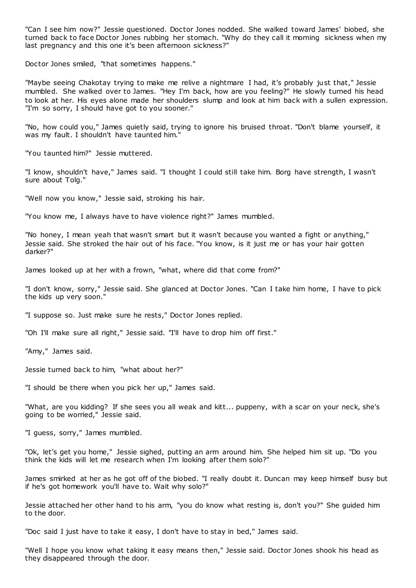"Can I see him now?" Jessie questioned. Doctor Jones nodded. She walked toward James' biobed, she turned back to face Doctor Jones rubbing her stomach. "Why do they call it morning sickness when my last pregnancy and this one it's been afternoon sickness?"

Doctor Jones smiled, "that sometimes happens."

"Maybe seeing Chakotay trying to make me relive a nightmare I had, it's probably just that," Jessie mumbled. She walked over to James. "Hey I'm back, how are you feeling?" He slowly turned his head to look at her. His eyes alone made her shoulders slump and look at him back with a sullen expression. "I'm so sorry, I should have got to you sooner."

"No, how could you," James quietly said, trying to ignore his bruised throat. "Don't blame yourself, it was my fault. I shouldn't have taunted him."

"You taunted him?" Jessie muttered.

"I know, shouldn't have," James said. "I thought I could still take him. Borg have strength, I wasn't sure about Tolg."

"Well now you know," Jessie said, stroking his hair.

"You know me, I always have to have violence right?" James mumbled.

"No honey, I mean yeah that wasn't smart but it wasn't because you wanted a fight or anything," Jessie said. She stroked the hair out of his face. "You know, is it just me or has your hair gotten darker?"

James looked up at her with a frown, "what, where did that come from?"

"I don't know, sorry," Jessie said. She glanced at Doctor Jones. "Can I take him home, I have to pick the kids up very soon."

"I suppose so. Just make sure he rests," Doctor Jones replied.

"Oh I'll make sure all right," Jessie said. "I'll have to drop him off first."

"Amy," James said.

Jessie turned back to him, "what about her?"

"I should be there when you pick her up," James said.

"What, are you kidding? If she sees you all weak and kitt... puppeny, with a scar on your neck, she's going to be worried," Jessie said.

"I guess, sorry," James mumbled.

"Ok, let's get you home," Jessie sighed, putting an arm around him. She helped him sit up. "Do you think the kids will let me research when I'm looking after them solo?"

James smirked at her as he got off of the biobed. "I really doubt it. Duncan may keep himself busy but if he's got homework you'll have to. Wait why solo?"

Jessie attached her other hand to his arm, "you do know what resting is, don't you?" She guided him to the door.

"Doc said I just have to take it easy, I don't have to stay in bed," James said.

"Well I hope you know what taking it easy means then," Jessie said. Doctor Jones shook his head as they disappeared through the door.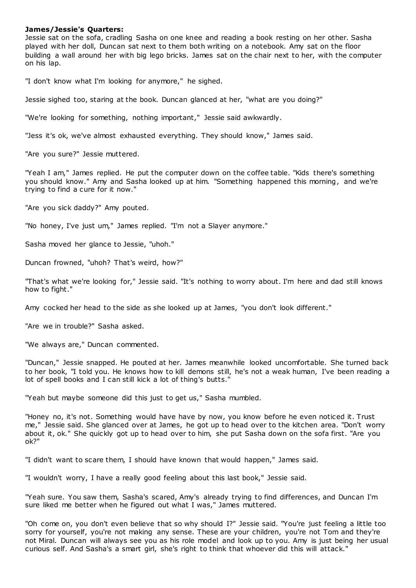# **James/Jessie's Quarters:**

Jessie sat on the sofa, cradling Sasha on one knee and reading a book resting on her other. Sasha played with her doll, Duncan sat next to them both writing on a notebook. Amy sat on the floor building a wall around her with big lego bricks. James sat on the chair next to her, with the computer on his lap.

"I don't know what I'm looking for anymore," he sighed.

Jessie sighed too, staring at the book. Duncan glanced at her, "what are you doing?"

"We're looking for something, nothing important," Jessie said awkwardly.

"Jess it's ok, we've almost exhausted everything. They should know," James said.

"Are you sure?" Jessie muttered.

"Yeah I am," James replied. He put the computer down on the coffee table. "Kids there's something you should know." Amy and Sasha looked up at him. "Something happened this morning, and we're trying to find a cure for it now."

"Are you sick daddy?" Amy pouted.

"No honey, I've just um," James replied. "I'm not a Slayer anymore."

Sasha moved her glance to Jessie, "uhoh."

Duncan frowned, "uhoh? That's weird, how?"

"That's what we're looking for," Jessie said. "It's nothing to worry about. I'm here and dad still knows how to fight."

Amy cocked her head to the side as she looked up at James, "you don't look different."

"Are we in trouble?" Sasha asked.

"We always are," Duncan commented.

"Duncan," Jessie snapped. He pouted at her. James meanwhile looked uncomfortable. She turned back to her book, "I told you. He knows how to kill demons still, he's not a weak human, I've been reading a lot of spell books and I can still kick a lot of thing's butts."

"Yeah but maybe someone did this just to get us," Sasha mumbled.

"Honey no, it's not. Something would have have by now, you know before he even noticed it. Trust me," Jessie said. She glanced over at James, he got up to head over to the kitchen area. "Don't worry about it, ok." She quickly got up to head over to him, she put Sasha down on the sofa first. "Are you ok?"

"I didn't want to scare them, I should have known that would happen," James said.

"I wouldn't worry, I have a really good feeling about this last book," Jessie said.

"Yeah sure. You saw them, Sasha's scared, Amy's already trying to find differences, and Duncan I'm sure liked me better when he figured out what I was," James muttered.

"Oh come on, you don't even believe that so why should I?" Jessie said. "You're just feeling a little too sorry for yourself, you're not making any sense. These are your children, you're not Tom and they're not Miral. Duncan will always see you as his role model and look up to you. Amy is just being her usual curious self. And Sasha's a smart girl, she's right to think that whoever did this will attack."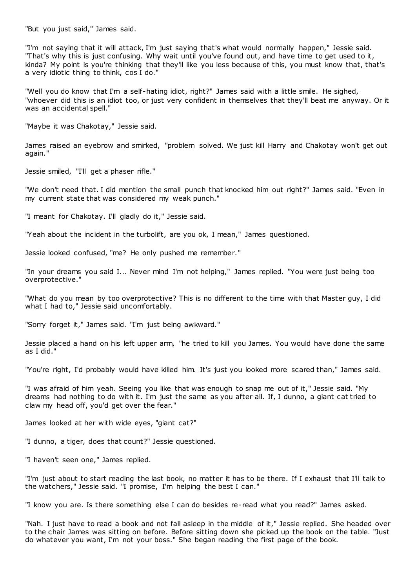"But you just said," James said.

"I'm not saying that it will attack, I'm just saying that's what would normally happen," Jessie said. "That's why this is just confusing. Why wait until you've found out, and have time to get used to it, kinda? My point is you're thinking that they'll like you less because of this, you must know that, that's a very idiotic thing to think, cos I do."

"Well you do know that I'm a self-hating idiot, right?" James said with a little smile. He sighed, "whoever did this is an idiot too, or just very confident in themselves that they'll beat me anyway. Or it was an accidental spell."

"Maybe it was Chakotay," Jessie said.

James raised an eyebrow and smirked, "problem solved. We just kill Harry and Chakotay won't get out again."

Jessie smiled, "I'll get a phaser rifle."

"We don't need that. I did mention the small punch that knocked him out right?" James said. "Even in my current state that was considered my weak punch."

"I meant for Chakotay. I'll gladly do it," Jessie said.

"Yeah about the incident in the turbolift, are you ok, I mean," James questioned.

Jessie looked confused, "me? He only pushed me remember."

"In your dreams you said I... Never mind I'm not helping," James replied. "You were just being too overprotective."

"What do you mean by too overprotective? This is no different to the time with that Master guy, I did what I had to," Jessie said uncomfortably.

"Sorry forget it," James said. "I'm just being awkward."

Jessie placed a hand on his left upper arm, "he tried to kill you James. You would have done the same as I did."

"You're right, I'd probably would have killed him. It's just you looked more scared than," James said.

"I was afraid of him yeah. Seeing you like that was enough to snap me out of it," Jessie said. "My dreams had nothing to do with it. I'm just the same as you after all. If, I dunno, a giant cat tried to claw my head off, you'd get over the fear."

James looked at her with wide eyes, "giant cat?"

"I dunno, a tiger, does that count?" Jessie questioned.

"I haven't seen one," James replied.

"I'm just about to start reading the last book, no matter it has to be there. If I exhaust that I'll talk to the watchers," Jessie said. "I promise, I'm helping the best I can."

"I know you are. Is there something else I can do besides re-read what you read?" James asked.

"Nah. I just have to read a book and not fall asleep in the middle of it," Jessie replied. She headed over to the chair James was sitting on before. Before sitting down she picked up the book on the table. "Just do whatever you want, I'm not your boss." She began reading the first page of the book.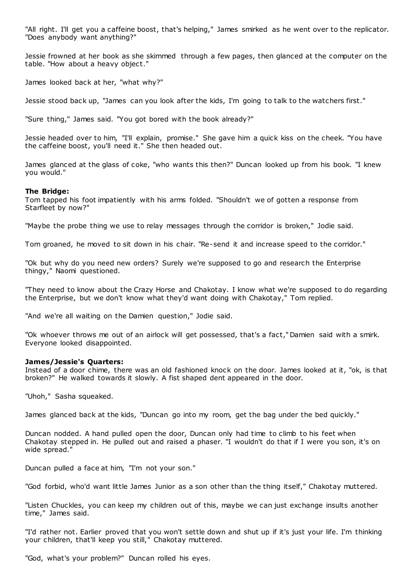"All right. I'll get you a caffeine boost, that's helping," James smirked as he went over to the replicator. "Does anybody want anything?"

Jessie frowned at her book as she skimmed through a few pages, then glanced at the computer on the table. "How about a heavy object."

James looked back at her, "what why?"

Jessie stood back up, "James can you look after the kids, I'm going to talk to the watchers first."

"Sure thing," James said. "You got bored with the book already?"

Jessie headed over to him, "I'll explain, promise." She gave him a quick kiss on the cheek. "You have the caffeine boost, you'll need it." She then headed out.

James glanced at the glass of coke, "who wants this then?" Duncan looked up from his book. "I knew you would."

# **The Bridge:**

Tom tapped his foot impatiently with his arms folded. "Shouldn't we of gotten a response from Starfleet by now?"

"Maybe the probe thing we use to relay messages through the corridor is broken," Jodie said.

Tom groaned, he moved to sit down in his chair. "Re-send it and increase speed to the corridor."

"Ok but why do you need new orders? Surely we're supposed to go and research the Enterprise thingy," Naomi questioned.

"They need to know about the Crazy Horse and Chakotay. I know what we're supposed to do regarding the Enterprise, but we don't know what they'd want doing with Chakotay," Tom replied.

"And we're all waiting on the Damien question," Jodie said.

"Ok whoever throws me out of an airlock will get possessed, that's a fact," Damien said with a smirk. Everyone looked disappointed.

# **James/Jessie's Quarters:**

Instead of a door chime, there was an old fashioned knock on the door. James looked at it, "ok, is that broken?" He walked towards it slowly. A fist shaped dent appeared in the door.

"Uhoh," Sasha squeaked.

James glanced back at the kids, "Duncan go into my room, get the bag under the bed quickly."

Duncan nodded. A hand pulled open the door, Duncan only had time to climb to his feet when Chakotay stepped in. He pulled out and raised a phaser. "I wouldn't do that if I were you son, it's on wide spread."

Duncan pulled a face at him, "I'm not your son."

"God forbid, who'd want little James Junior as a son other than the thing itself," Chakotay muttered.

"Listen Chuckles, you can keep my children out of this, maybe we can just exchange insults another time," James said.

"I'd rather not. Earlier proved that you won't settle down and shut up if it's just your life. I'm thinking your children, that'll keep you still," Chakotay muttered.

"God, what's your problem?" Duncan rolled his eyes.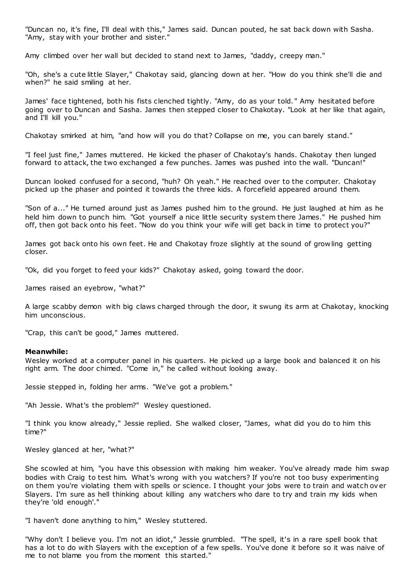"Duncan no, it's fine, I'll deal with this," James said. Duncan pouted, he sat back down with Sasha. "Amy, stay with your brother and sister."

Amy climbed over her wall but decided to stand next to James, "daddy, creepy man."

"Oh, she's a cute little Slayer," Chakotay said, glancing down at her. "How do you think she'll die and when?" he said smiling at her.

James' face tightened, both his fists clenched tightly. "Amy, do as your told. " Amy hesitated before going over to Duncan and Sasha. James then stepped closer to Chakotay. "Look at her like that again, and I'll kill you."

Chakotay smirked at him, "and how will you do that? Collapse on me, you can barely stand."

"I feel just fine," James muttered. He kicked the phaser of Chakotay's hands. Chakotay then lunged forward to attack, the two exchanged a few punches. James was pushed into the wall. "Duncan!"

Duncan looked confused for a second, "huh? Oh yeah." He reached over to the computer. Chakotay picked up the phaser and pointed it towards the three kids. A forcefield appeared around them.

"Son of a..." He turned around just as James pushed him to the ground. He just laughed at him as he held him down to punch him. "Got yourself a nice little security system there James." He pushed him off, then got back onto his feet. "Now do you think your wife will get back in time to protect you?"

James got back onto his own feet. He and Chakotay froze slightly at the sound of grow ling getting closer.

"Ok, did you forget to feed your kids?" Chakotay asked, going toward the door.

James raised an eyebrow, "what?"

A large scabby demon with big claws charged through the door, it swung its arm at Chakotay, knocking him unconscious.

"Crap, this can't be good," James muttered.

# **Meanwhile:**

Wesley worked at a computer panel in his quarters. He picked up a large book and balanced it on his right arm. The door chimed. "Come in," he called without looking away.

Jessie stepped in, folding her arms. "We've got a problem."

"Ah Jessie. What's the problem?" Wesley questioned.

"I think you know already," Jessie replied. She walked closer, "James, what did you do to him this time?"

Wesley glanced at her, "what?"

She scowled at him, "you have this obsession with making him weaker. You've already made him swap bodies with Craig to test him. What's wrong with you watchers? If you're not too busy experimenting on them you're violating them with spells or science. I thought your jobs were to train and watch ov er Slayers. I'm sure as hell thinking about killing any watchers who dare to try and train my kids when they're 'old enough'."

"I haven't done anything to him," Wesley stuttered.

"Why don't I believe you. I'm not an idiot," Jessie grumbled. "The spell, it's in a rare spell book that has a lot to do with Slayers with the exception of a few spells. You've done it before so it was naive of me to not blame you from the moment this started."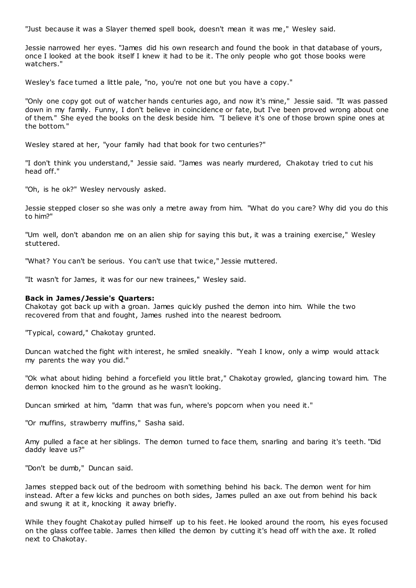"Just because it was a Slayer themed spell book, doesn't mean it was me," Wesley said.

Jessie narrowed her eyes. "James did his own research and found the book in that database of yours, once I looked at the book itself I knew it had to be it. The only people who got those books were watchers."

Wesley's face turned a little pale, "no, you're not one but you have a copy."

"Only one copy got out of watcher hands centuries ago, and now it's mine," Jessie said. "It was passed down in my family. Funny, I don't believe in coincidence or fate, but I've been proved wrong about one of them." She eyed the books on the desk beside him. "I believe it's one of those brown spine ones at the bottom."

Wesley stared at her, "your family had that book for two centuries?"

"I don't think you understand," Jessie said. "James was nearly murdered, Chakotay tried to cut his head off."

"Oh, is he ok?" Wesley nervously asked.

Jessie stepped closer so she was only a metre away from him. "What do you care? Why did you do this to him?"

"Um well, don't abandon me on an alien ship for saying this but, it was a training exercise," Wesley stuttered.

"What? You can't be serious. You can't use that twice," Jessie muttered.

"It wasn't for James, it was for our new trainees," Wesley said.

#### **Back in James/Jessie's Quarters:**

Chakotay got back up with a groan. James quic kly pushed the demon into him. While the two recovered from that and fought, James rushed into the nearest bedroom.

"Typical, coward," Chakotay grunted.

Duncan watched the fight with interest, he smiled sneakily. "Yeah I know, only a wimp would attack my parents the way you did."

"Ok what about hiding behind a forcefield you little brat," Chakotay growled, glancing toward him. The demon knocked him to the ground as he wasn't looking.

Duncan smirked at him, "damn that was fun, where's popcorn when you need it."

"Or muffins, strawberry muffins," Sasha said.

Amy pulled a face at her siblings. The demon turned to face them, snarling and baring it's teeth. "Did daddy leave us?"

"Don't be dumb," Duncan said.

James stepped back out of the bedroom with something behind his back. The demon went for him instead. After a few kicks and punches on both sides, James pulled an axe out from behind his back and swung it at it, knocking it away briefly.

While they fought Chakotay pulled himself up to his feet. He looked around the room, his eyes focused on the glass coffee table. James then killed the demon by cutting it's head off with the axe. It rolled next to Chakotay.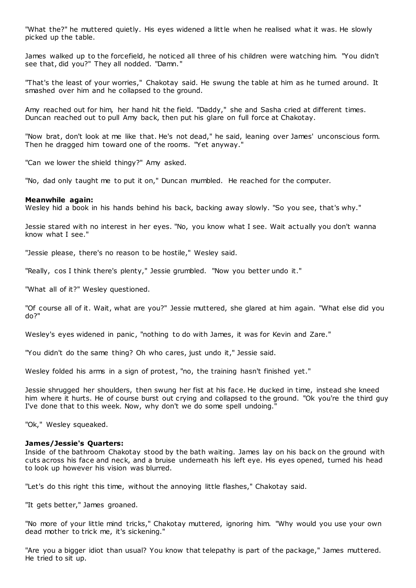"What the?" he muttered quietly. His eyes widened a little when he realised what it was. He slowly picked up the table.

James walked up to the forcefield, he noticed all three of his children were watching him. "You didn't see that, did you?" They all nodded. "Damn."

"That's the least of your worries," Chakotay said. He swung the table at him as he turned around. It smashed over him and he collapsed to the ground.

Amy reached out for him, her hand hit the field. "Daddy," she and Sasha cried at different times. Duncan reached out to pull Amy back, then put his glare on full force at Chakotay.

"Now brat, don't look at me like that. He's not dead," he said, leaning over James' unconscious form. Then he dragged him toward one of the rooms. "Yet anyway."

"Can we lower the shield thingy?" Amy asked.

"No, dad only taught me to put it on," Duncan mumbled. He reached for the computer.

## **Meanwhile again:**

Wesley hid a book in his hands behind his back, backing away slowly. "So you see, that's why."

Jessie stared with no interest in her eyes. "No, you know what I see. Wait actually you don't wanna know what I see."

"Jessie please, there's no reason to be hostile," Wesley said.

"Really, cos I think there's plenty," Jessie grumbled. "Now you better undo it."

"What all of it?" Wesley questioned.

"Of course all of it. Wait, what are you?" Jessie muttered, she glared at him again. "What else did you do?"

Wesley's eyes widened in panic, "nothing to do with James, it was for Kevin and Zare."

"You didn't do the same thing? Oh who cares, just undo it," Jessie said.

Wesley folded his arms in a sign of protest, "no, the training hasn't finished yet."

Jessie shrugged her shoulders, then swung her fist at his face. He ducked in time, instead she kneed him where it hurts. He of course burst out crying and collapsed to the ground. "Ok you're the third guy I've done that to this week. Now, why don't we do some spell undoing."

"Ok," Wesley squeaked.

## **James/Jessie's Quarters:**

Inside of the bathroom Chakotay stood by the bath waiting. James lay on his back on the ground with cuts across his face and neck, and a bruise underneath his left eye. His eyes opened, turned his head to look up however his vision was blurred.

"Let's do this right this time, without the annoying little flashes," Chakotay said.

"It gets better," James groaned.

"No more of your little mind tricks," Chakotay muttered, ignoring him. "Why would you use your own dead mother to trick me, it's sickening."

"Are you a bigger idiot than usual? You know that telepathy is part of the package," James muttered. He tried to sit up.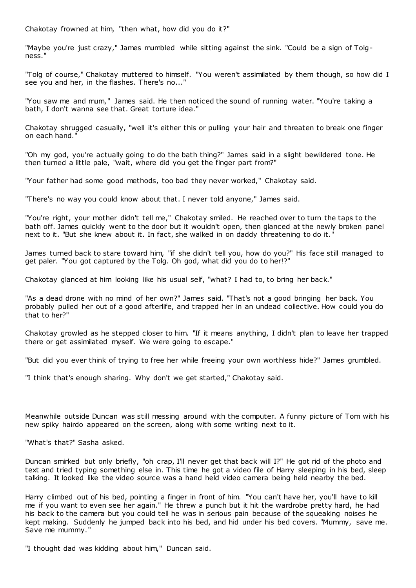Chakotay frowned at him, "then what, how did you do it?"

"Maybe you're just crazy," James mumbled while sitting against the sink. "Could be a sign of Tolgness."

"Tolg of course," Chakotay muttered to himself. "You weren't assimilated by them though, so how did I see you and her, in the flashes. There's no..."

"You saw me and mum," James said. He then noticed the sound of running water. "You're taking a bath, I don't wanna see that. Great torture idea."

Chakotay shrugged casually, "well it's either this or pulling your hair and threaten to break one finger on each hand."

"Oh my god, you're actually going to do the bath thing?" James said in a slight bewildered tone. He then turned a little pale, "wait, where did you get the finger part from?"

"Your father had some good methods, too bad they never worked," Chakotay said.

"There's no way you could know about that. I never told anyone," James said.

"You're right, your mother didn't tell me," Chakotay smiled. He reached over to turn the taps to the bath off. James quickly went to the door but it wouldn't open, then glanced at the newly broken panel next to it. "But she knew about it. In fact, she walked in on daddy threatening to do it."

James turned back to stare toward him, "if she didn't tell you, how do you?" His face still managed to get paler. "You got captured by the Tolg. Oh god, what did you do to her!?"

Chakotay glanced at him looking like his usual self, "what? I had to, to bring her back."

"As a dead drone with no mind of her own?" James said. "That's not a good bringing her back. You probably pulled her out of a good afterlife, and trapped her in an undead collective. How could you do that to her?"

Chakotay growled as he stepped closer to him. "If it means anything, I didn't plan to leave her trapped there or get assimilated myself. We were going to escape."

"But did you ever think of trying to free her while freeing your own worthless hide?" James grumbled.

"I think that's enough sharing. Why don't we get started," Chakotay said.

Meanwhile outside Duncan was still messing around with the computer. A funny picture of Tom with his new spiky hairdo appeared on the screen, along with some writing next to it.

"What's that?" Sasha asked.

Duncan smirked but only briefly, "oh crap, I'll never get that back will I?" He got rid of the photo and text and tried typing something else in. This time he got a video file of Harry sleeping in his bed, sleep talking. It looked like the video source was a hand held video camera being held nearby the bed.

Harry climbed out of his bed, pointing a finger in front of him. "You can't have her, you'll have to kill me if you want to even see her again." He threw a punch but it hit the wardrobe pretty hard, he had his back to the camera but you could tell he was in serious pain because of the squeaking noises he kept making. Suddenly he jumped back into his bed, and hid under his bed covers. "Mummy, save me. Save me mummy."

"I thought dad was kidding about him," Duncan said.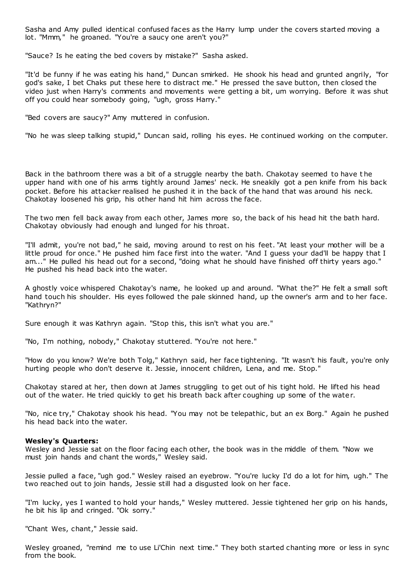Sasha and Amy pulled identical confused faces as the Harry lump under the covers started moving a lot. "Mmm," he groaned. "You're a saucy one aren't you?"

"Sauce? Is he eating the bed covers by mistake?" Sasha asked.

"It'd be funny if he was eating his hand," Duncan smirked. He shook his head and grunted angrily, "for god's sake, I bet Chaks put these here to distract me." He pressed the save button, then closed the video just when Harry's comments and movements were getting a bit, um worrying. Before it was shut off you could hear somebody going, "ugh, gross Harry."

"Bed covers are saucy?" Amy muttered in confusion.

"No he was sleep talking stupid," Duncan said, rolling his eyes. He continued working on the computer.

Back in the bathroom there was a bit of a struggle nearby the bath. Chakotay seemed to have t he upper hand with one of his arms tightly around James' neck. He sneakily got a pen knife from his back pocket. Before his attacker realised he pushed it in the back of the hand that was around his neck. Chakotay loosened his grip, his other hand hit him across the face.

The two men fell back away from each other, James more so, the back of his head hit the bath hard. Chakotay obviously had enough and lunged for his throat.

"I'll admit, you're not bad," he said, moving around to rest on his feet. "At least your mother will be a little proud for once." He pushed him face first into the water. "And I guess your dad'll be happy that I am..." He pulled his head out for a second, "doing what he should have finished off thirty years ago." He pushed his head back into the water.

A ghostly voice whispered Chakotay's name, he looked up and around. "What the?" He felt a small soft hand touch his shoulder. His eyes followed the pale skinned hand, up the owner's arm and to her face. "Kathryn?"

Sure enough it was Kathryn again. "Stop this, this isn't what you are."

"No, I'm nothing, nobody," Chakotay stuttered. "You're not here."

"How do you know? We're both Tolg," Kathryn said, her face tightening. "It wasn't his fault, you're only hurting people who don't deserve it. Jessie, innocent children, Lena, and me. Stop."

Chakotay stared at her, then down at James struggling to get out of his tight hold. He lifted his head out of the water. He tried quickly to get his breath back after coughing up some of the water.

"No, nice try," Chakotay shook his head. "You may not be telepathic, but an ex Borg." Again he pushed his head back into the water.

## **Wesley's Quarters:**

Wesley and Jessie sat on the floor facing each other, the book was in the middle of them. "Now we must join hands and chant the words," Wesley said.

Jessie pulled a face, "ugh god." Wesley raised an eyebrow. "You're lucky I'd do a lot for him, ugh." The two reached out to join hands, Jessie still had a disgusted look on her face.

"I'm lucky, yes I wanted to hold your hands," Wesley muttered. Jessie tightened her grip on his hands, he bit his lip and cringed. "Ok sorry."

"Chant Wes, chant," Jessie said.

Wesley groaned, "remind me to use Li'Chin next time." They both started chanting more or less in sync from the book.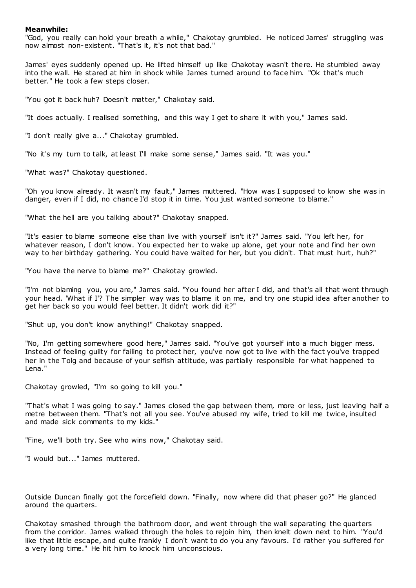# **Meanwhile:**

"God, you really can hold your breath a while," Chakotay grumbled. He noticed James' struggling was now almost non-existent. "That's it, it's not that bad."

James' eyes suddenly opened up. He lifted himself up like Chakotay wasn't there. He stumbled away into the wall. He stared at him in shock while James turned around to face him. "Ok that's much better." He took a few steps closer.

"You got it back huh? Doesn't matter," Chakotay said.

"It does actually. I realised something, and this way I get to share it with you," James said.

"I don't really give a..." Chakotay grumbled.

"No it's my turn to talk, at least I'll make some sense," James said. "It was you."

"What was?" Chakotay questioned.

"Oh you know already. It wasn't my fault," James muttered. "How was I supposed to know she was in danger, even if I did, no chance I'd stop it in time. You just wanted someone to blame."

"What the hell are you talking about?" Chakotay snapped.

"It's easier to blame someone else than live with yourself isn't it?" James said. "You left her, for whatever reason, I don't know. You expected her to wake up alone, get your note and find her own way to her birthday gathering. You could have waited for her, but you didn't. That must hurt, huh?"

"You have the nerve to blame me?" Chakotay growled.

"I'm not blaming you, you are," James said. "You found her after I did, and that's all that went through your head. 'What if I'? The simpler way was to blame it on me, and try one stupid idea after another to get her back so you would feel better. It didn't work did it?"

"Shut up, you don't know anything!" Chakotay snapped.

"No, I'm getting somewhere good here," James said. "You've got yourself into a much bigger mess. Instead of feeling guilty for failing to protect her, you've now got to live with the fact you've trapped her in the Tolg and because of your selfish attitude, was partially responsible for what happened to Lena."

Chakotay growled, "I'm so going to kill you."

"That's what I was going to say." James closed the gap between them, more or less, just leaving half a metre between them. "That's not all you see. You've abused my wife, tried to kill me twice, insulted and made sick comments to my kids."

"Fine, we'll both try. See who wins now," Chakotay said.

"I would but..." James muttered.

Outside Duncan finally got the forcefield down. "Finally, now where did that phaser go?" He glanced around the quarters.

Chakotay smashed through the bathroom door, and went through the wall separating the quarters from the corridor. James walked through the holes to rejoin him, then knelt down next to him. "You'd like that little escape, and quite frankly I don't want to do you any favours. I'd rather you suffered for a very long time." He hit him to knock him unconscious.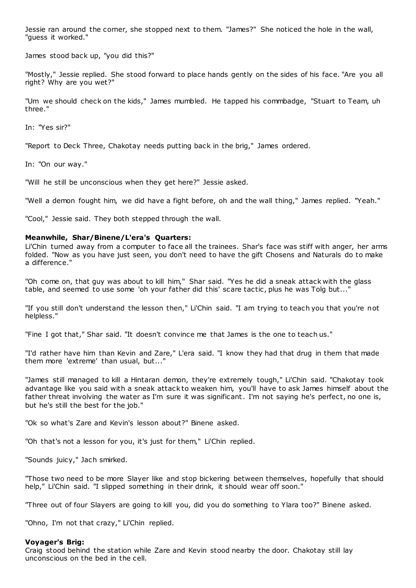Jessie ran around the corner, she stopped next to them. "James?" She noticed the hole in the wall, "guess it worked."

James stood back up, "you did this?"

"Mostly," Jessie replied. She stood forward to place hands gently on the sides of his face. "Are you all right? Why are you wet?"

"Um we should check on the kids," James mumbled. He tapped his commbadge, "Stuart to Team, uh three."

In: "Yes sir?"

"Report to Deck Three, Chakotay needs putting back in the brig," James ordered.

In: "On our way."

"Will he still be unconscious when they get here?" Jessie asked.

"Well a demon fought him, we did have a fight before, oh and the wall thing," James replied. "Yeah."

"Cool," Jessie said. They both stepped through the wall.

# **Meanwhile, Shar/Binene/L'era's Quarters:**

Li'Chin turned away from a computer to face all the trainees. Shar's face was stiff with anger, her arms folded. "Now as you have just seen, you don't need to have the gift Chosens and Naturals do to make a difference."

"Oh come on, that guy was about to kill him," Shar said. "Yes he did a sneak attack with the glass table, and seemed to use some 'oh your father did this' scare tactic, plus he was Tolg but...'

"If you still don't understand the lesson then," Li'Chin said. "I am trying to teach you that you're not helpless."

"Fine I got that," Shar said. "It doesn't convince me that James is the one to teach us."

"I'd rather have him than Kevin and Zare," L'era said. "I know they had that drug in them that made them more 'extreme' than usual, but..."

"James still managed to kill a Hintaran demon, they're extremely tough," Li'Chin said. "Chakotay took advantage like you said with a sneak attack to weaken him, you'll have to ask James himself about the father threat involving the water as I'm sure it was significant. I'm not saying he's perfect, no one is, but he's still the best for the job."

"Ok so what's Zare and Kevin's lesson about?" Binene asked.

"Oh that's not a lesson for you, it's just for them," Li'Chin replied.

"Sounds juicy," Jach smirked.

"Those two need to be more Slayer like and stop bickering between themselves, hopefully that should help," Li'Chin said. "I slipped something in their drink, it should wear off soon."

"Three out of four Slayers are going to kill you, did you do something to Ylara too?" Binene asked.

"Ohno, I'm not that crazy," Li'Chin replied.

# **Voyager's Brig:**

Craig stood behind the station while Zare and Kevin stood nearby the door. Chakotay still lay unconscious on the bed in the cell.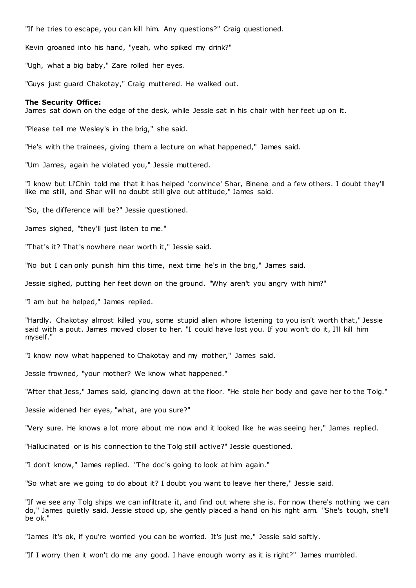"If he tries to escape, you can kill him. Any questions?" Craig questioned.

Kevin groaned into his hand, "yeah, who spiked my drink?"

"Ugh, what a big baby," Zare rolled her eyes.

"Guys just guard Chakotay," Craig muttered. He walked out.

## **The Security Office:**

James sat down on the edge of the desk, while Jessie sat in his chair with her feet up on it.

"Please tell me Wesley's in the brig," she said.

"He's with the trainees, giving them a lecture on what happened," James said.

"Um James, again he violated you," Jessie muttered.

"I know but Li'Chin told me that it has helped 'convince' Shar, Binene and a few others. I doubt they'll like me still, and Shar will no doubt still give out attitude," James said.

"So, the difference will be?" Jessie questioned.

James sighed, "they'll just listen to me."

"That's it? That's nowhere near worth it," Jessie said.

"No but I can only punish him this time, next time he's in the brig," James said.

Jessie sighed, putting her feet down on the ground. "Why aren't you angry with him?"

"I am but he helped," James replied.

"Hardly. Chakotay almost killed you, some stupid alien whore listening to you isn't worth that," Jessie said with a pout. James moved closer to her. "I could have lost you. If you won't do it, I'll kill him myself."

"I know now what happened to Chakotay and my mother," James said.

Jessie frowned, "your mother? We know what happened."

"After that Jess," James said, glancing down at the floor. "He stole her body and gave her to the Tolg."

Jessie widened her eyes, "what, are you sure?"

"Very sure. He knows a lot more about me now and it looked like he was seeing her," James replied.

"Hallucinated or is his connection to the Tolg still active?" Jessie questioned.

"I don't know," James replied. "The doc's going to look at him again."

"So what are we going to do about it? I doubt you want to leave her there," Jessie said.

"If we see any Tolg ships we can infiltrate it, and find out where she is. For now there's nothing we can do," James quietly said. Jessie stood up, she gently placed a hand on his right arm. "She's tough, she'll be ok."

"James it's ok, if you're worried you can be worried. It's just me," Jessie said softly.

"If I worry then it won't do me any good. I have enough worry as it is right?" James mumbled.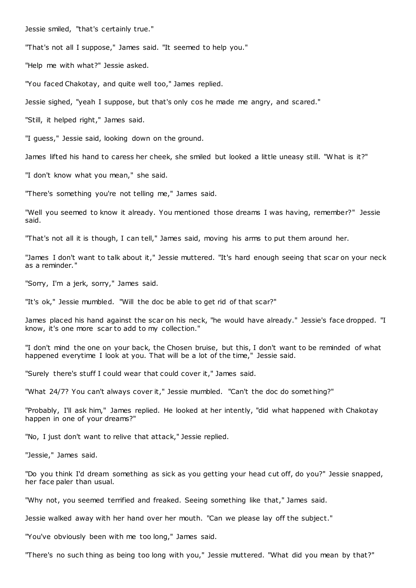Jessie smiled, "that's certainly true."

"That's not all I suppose," James said. "It seemed to help you."

"Help me with what?" Jessie asked.

"You faced Chakotay, and quite well too," James replied.

Jessie sighed, "yeah I suppose, but that's only cos he made me angry, and scared."

"Still, it helped right," James said.

"I guess," Jessie said, looking down on the ground.

James lifted his hand to caress her cheek, she smiled but looked a little uneasy still. "What is it?"

"I don't know what you mean," she said.

"There's something you're not telling me," James said.

"Well you seemed to know it already. You mentioned those dreams I was having, remember?" Jessie said.

"That's not all it is though, I can tell," James said, moving his arms to put them around her.

"James I don't want to talk about it," Jessie muttered. "It's hard enough seeing that scar on your neck as a reminder."

"Sorry, I'm a jerk, sorry," James said.

"It's ok," Jessie mumbled. "Will the doc be able to get rid of that scar?"

James placed his hand against the scar on his neck, "he would have already." Jessie's face dropped. "I know, it's one more scar to add to my collection."

"I don't mind the one on your back, the Chosen bruise, but this, I don't want to be reminded of what happened everytime I look at you. That will be a lot of the time," Jessie said.

"Surely there's stuff I could wear that could cover it," James said.

"What 24/7? You can't always cover it," Jessie mumbled. "Can't the doc do somet hing?"

"Probably, I'll ask him," James replied. He looked at her intently, "did what happened with Chakotay happen in one of your dreams?"

"No, I just don't want to relive that attack," Jessie replied.

"Jessie," James said.

"Do you think I'd dream something as sick as you getting your head cut off, do you?" Jessie snapped, her face paler than usual.

"Why not, you seemed terrified and freaked. Seeing something like that," James said.

Jessie walked away with her hand over her mouth. "Can we please lay off the subject."

"You've obviously been with me too long," James said.

"There's no such thing as being too long with you," Jessie muttered. "What did you mean by that?"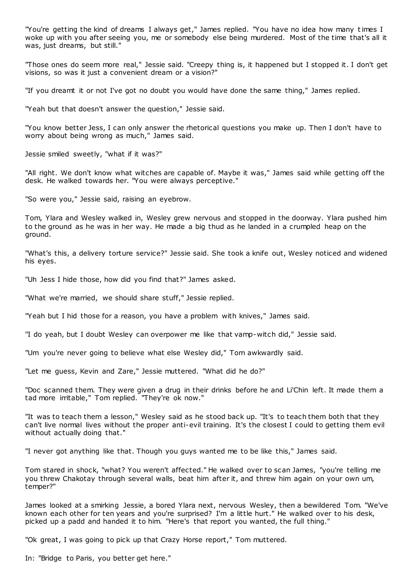"You're getting the kind of dreams I always get," James replied. "You have no idea how many times I woke up with you after seeing you, me or somebody else being murdered. Most of the time that's all it was, just dreams, but still."

"Those ones do seem more real," Jessie said. "Creepy thing is, it happened but I stopped it. I don't get visions, so was it just a convenient dream or a vision?"

"If you dreamt it or not I've got no doubt you would have done the same thing," James replied.

"Yeah but that doesn't answer the question," Jessie said.

"You know better Jess, I can only answer the rhetorical questions you make up. Then I don't have to worry about being wrong as much," James said.

Jessie smiled sweetly, "what if it was?"

"All right. We don't know what witches are capable of. Maybe it was," James said while getting off the desk. He walked towards her. "You were always perceptive."

"So were you," Jessie said, raising an eyebrow.

Tom, Ylara and Wesley walked in, Wesley grew nervous and stopped in the doorway. Ylara pushed him to the ground as he was in her way. He made a big thud as he landed in a crumpled heap on the ground.

"What's this, a delivery torture service?" Jessie said. She took a knife out, Wesley noticed and widened his eyes.

"Uh Jess I hide those, how did you find that?" James asked.

"What we're married, we should share stuff," Jessie replied.

"Yeah but I hid those for a reason, you have a problem with knives," James said.

"I do yeah, but I doubt Wesley can overpower me like that vamp-witch did," Jessie said.

"Um you're never going to believe what else Wesley did," Tom awkwardly said.

"Let me guess, Kevin and Zare," Jessie muttered. "What did he do?"

"Doc scanned them. They were given a drug in their drinks before he and Li'Chin left. It made them a tad more irritable," Tom replied. "They're ok now."

"It was to teach them a lesson," Wesley said as he stood back up. "It's to teach them both that they can't live normal lives without the proper anti-evil training. It's the closest I could to getting them evil without actually doing that."

"I never got anything like that. Though you guys wanted me to be like this," James said.

Tom stared in shock, "what? You weren't affected." He walked over to scan James, "you're telling me you threw Chakotay through several walls, beat him after it, and threw him again on your own um, temper?"

James looked at a smirking Jessie, a bored Ylara next, nervous Wesley, then a bewildered Tom. "We've known each other for ten years and you're surprised? I'm a little hurt." He walked over to his desk, picked up a padd and handed it to him. "Here's that report you wanted, the full thing."

"Ok great, I was going to pick up that Crazy Horse report," Tom muttered.

In: "Bridge to Paris, you better get here."